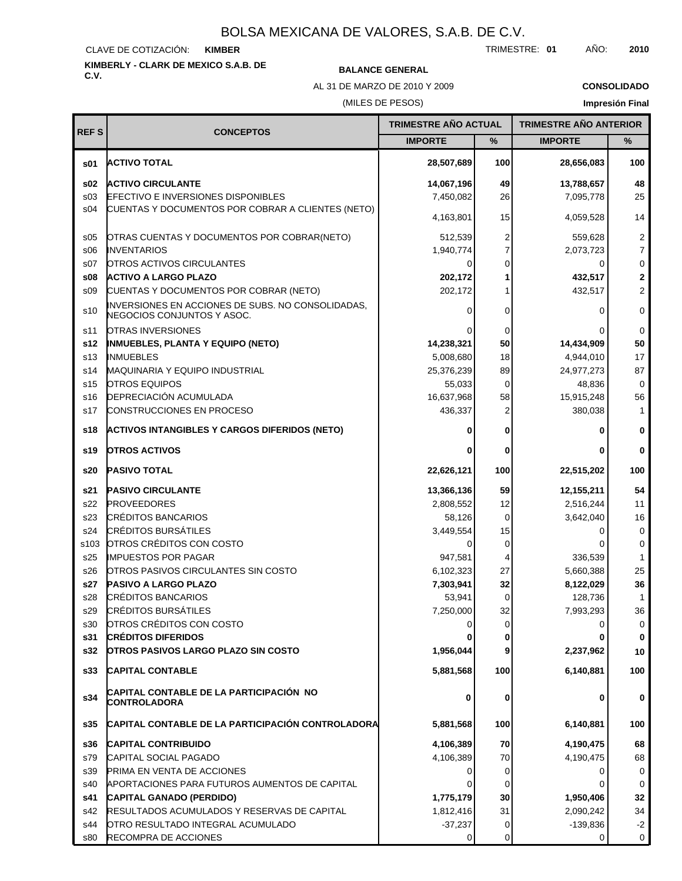#### CLAVE DE COTIZACIÓN: **KIMBER**

# **KIMBERLY - CLARK DE MEXICO S.A.B. DE**

## **C.V. BALANCE GENERAL**

AL 31 DE MARZO DE 2010 Y 2009

**CONSOLIDADO**

## (MILES DE PESOS)

# **Impresión Final**

|                 |                                                                                 | TRIMESTRE AÑO ACTUAL   |                | <b>TRIMESTRE AÑO ANTERIOR</b> |                |
|-----------------|---------------------------------------------------------------------------------|------------------------|----------------|-------------------------------|----------------|
| <b>REFS</b>     | <b>CONCEPTOS</b>                                                                | <b>IMPORTE</b>         | %              | <b>IMPORTE</b>                | %              |
| s01             | <b>ACTIVO TOTAL</b>                                                             | 28,507,689             | 100            | 28,656,083                    | 100            |
| \$02            | <b>ACTIVO CIRCULANTE</b>                                                        | 14,067,196             | 49             | 13,788,657                    | 48             |
| \$03            | <b>EFECTIVO E INVERSIONES DISPONIBLES</b>                                       | 7,450,082              | 26             | 7,095,778                     | 25             |
| s04             | CUENTAS Y DOCUMENTOS POR COBRAR A CLIENTES (NETO)                               | 4,163,801              | 15             | 4,059,528                     | 14             |
| \$05            | OTRAS CUENTAS Y DOCUMENTOS POR COBRAR(NETO)                                     | 512,539                | 2              | 559,628                       | 2              |
| \$06            | <b>INVENTARIOS</b>                                                              | 1,940,774              | 7              | 2,073,723                     | $\overline{7}$ |
| S <sub>07</sub> | OTROS ACTIVOS CIRCULANTES                                                       | 0                      | $\Omega$       | 0                             | $\mathbf 0$    |
| \$08            | <b>ACTIVO A LARGO PLAZO</b>                                                     | 202,172                |                | 432,517                       | $\overline{2}$ |
| \$09            | CUENTAS Y DOCUMENTOS POR COBRAR (NETO)                                          | 202,172                |                | 432,517                       | $\overline{2}$ |
| s10             | INVERSIONES EN ACCIONES DE SUBS. NO CONSOLIDADAS,<br>NEGOCIOS CONJUNTOS Y ASOC. | 0                      | 0              | 0                             | 0              |
| s11             | <b>OTRAS INVERSIONES</b>                                                        |                        | 0              | 0                             | 0              |
| s12             | <b>INMUEBLES, PLANTA Y EQUIPO (NETO)</b>                                        | 14,238,321             | 50             | 14,434,909                    | 50             |
| s <sub>13</sub> | <b>INMUEBLES</b>                                                                | 5,008,680              | 18             | 4,944,010                     | 17             |
| s14             | MAQUINARIA Y EQUIPO INDUSTRIAL                                                  | 25,376,239             | 89             | 24,977,273                    | 87             |
| s <sub>15</sub> | <b>OTROS EQUIPOS</b>                                                            | 55,033                 | 0              | 48,836                        | $\mathbf 0$    |
| s16             | <b>DEPRECIACIÓN ACUMULADA</b>                                                   | 16,637,968             | 58             | 15,915,248                    | 56             |
| s17             | CONSTRUCCIONES EN PROCESO                                                       | 436,337                | 2              | 380,038                       | $\mathbf 1$    |
| s18             | <b>ACTIVOS INTANGIBLES Y CARGOS DIFERIDOS (NETO)</b>                            |                        | 0              | 0                             | 0              |
| s19             | <b>OTROS ACTIVOS</b>                                                            |                        | 0              | 0                             | 0              |
| s20             | PASIVO TOTAL                                                                    | 22,626,121             | 100            | 22,515,202                    | 100            |
| s21             | <b>PASIVO CIRCULANTE</b>                                                        | 13,366,136             | 59             | 12,155,211                    | 54             |
| s22             | <b>PROVEEDORES</b>                                                              | 2,808,552              | 12             | 2,516,244                     | 11             |
| s23             | <b>CRÉDITOS BANCARIOS</b>                                                       | 58,126                 | 0              | 3,642,040                     | 16             |
| s24             | <b>CRÉDITOS BURSÁTILES</b>                                                      | 3,449,554              | 15             | 0                             | $\mathbf 0$    |
| s103            | OTROS CRÉDITOS CON COSTO                                                        | 0                      | 0              |                               | $\mathbf 0$    |
| s25             | IMPUESTOS POR PAGAR                                                             | 947,581                | 4              | 336,539                       | 1              |
| s26             | OTROS PASIVOS CIRCULANTES SIN COSTO                                             | 6,102,323              | 27             | 5,660,388                     | 25             |
| s27             | <b>PASIVO A LARGO PLAZO</b>                                                     | 7,303,941              | 32             | 8,122,029                     | 36             |
| s28             | <b>CRÉDITOS BANCARIOS</b>                                                       | 53,941                 | 0              | 128,736                       | 1              |
| s29             | <b>CRÉDITOS BURSÁTILES</b>                                                      | 7,250,000              | 32             | 7,993,293                     | 36             |
| s30             | OTROS CRÉDITOS CON COSTO                                                        | 0                      | 0              | 0                             | 0              |
| s31             | <b>CRÉDITOS DIFERIDOS</b>                                                       |                        | 0              | 0                             | 0              |
| s32<br>s33      | <b>OTROS PASIVOS LARGO PLAZO SIN COSTO</b><br><b>CAPITAL CONTABLE</b>           | 1,956,044<br>5,881,568 | 9<br>100       | 2,237,962<br>6,140,881        | 10<br>100      |
|                 |                                                                                 |                        |                |                               |                |
| s34             | CAPITAL CONTABLE DE LA PARTICIPACIÓN NO<br><b>CONTROLADORA</b>                  | 0                      | 0              | 0                             | 0              |
| s35             | CAPITAL CONTABLE DE LA PARTICIPACIÓN CONTROLADORA                               | 5,881,568              | 100            | 6,140,881                     | 100            |
| s36             | <b>CAPITAL CONTRIBUIDO</b>                                                      | 4,106,389              | 70             | 4,190,475                     | 68             |
| s79             | CAPITAL SOCIAL PAGADO                                                           | 4,106,389              | 70             | 4,190,475                     | 68             |
| s39             | PRIMA EN VENTA DE ACCIONES                                                      | 0                      | $\overline{0}$ | 0                             | 0              |
| s40             | APORTACIONES PARA FUTUROS AUMENTOS DE CAPITAL                                   |                        | 0              | 0                             | 0              |
| s41             | CAPITAL GANADO (PERDIDO)                                                        | 1,775,179              | 30             | 1,950,406                     | 32             |
| s42             | RESULTADOS ACUMULADOS Y RESERVAS DE CAPITAL                                     | 1,812,416              | 31             | 2,090,242                     | 34             |
| s44             | OTRO RESULTADO INTEGRAL ACUMULADO                                               | $-37,237$              | 0              | $-139,836$                    | $-2$           |
| s80             | RECOMPRA DE ACCIONES                                                            | $\Omega$               | $\Omega$       | 0                             | $\mathbf 0$    |

TRIMESTRE: **01** AÑO: **2010**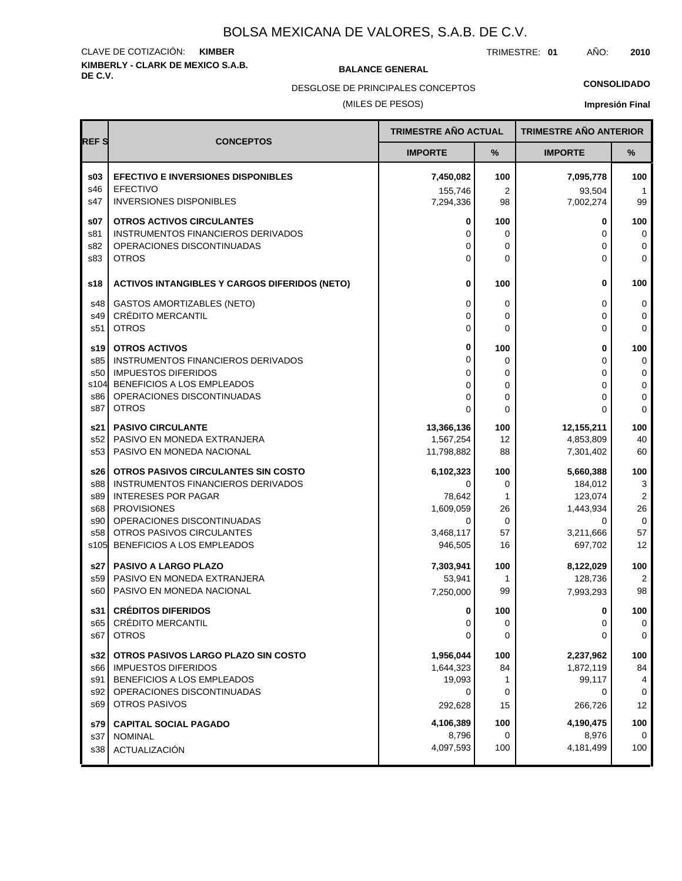# **KIMBERLY - CLARK DE MEXICO S.A.B.** CLAVE DE COTIZACIÓN: **KIMBER**

**BALANCE GENERAL** 

TRIMESTRE: **01** AÑO: **2010**

**CONSOLIDADO**

(MILES DE PESOS) DESGLOSE DE PRINCIPALES CONCEPTOS

| <b>REFS</b> | <b>CONCEPTOS</b>                                              | <b>TRIMESTRE AÑO ACTUAL</b> |             | <b>TRIMESTRE AÑO ANTERIOR</b> |                   |
|-------------|---------------------------------------------------------------|-----------------------------|-------------|-------------------------------|-------------------|
|             |                                                               | <b>IMPORTE</b>              | %           | <b>IMPORTE</b>                | %                 |
| \$03        | <b>EFECTIVO E INVERSIONES DISPONIBLES</b>                     | 7,450,082                   | 100         | 7,095,778                     | 100               |
| s46<br>s47  | <b>EFECTIVO</b><br><b>INVERSIONES DISPONIBLES</b>             | 155,746<br>7,294,336        | 2<br>98     | 93,504<br>7,002,274           | 1<br>99           |
| s07         | <b>OTROS ACTIVOS CIRCULANTES</b>                              | 0                           | 100         | 0                             | 100               |
| s81         | INSTRUMENTOS FINANCIEROS DERIVADOS                            | 0                           | 0           | 0                             | 0                 |
| s82<br>s83  | OPERACIONES DISCONTINUADAS<br><b>OTROS</b>                    | 0<br>$\Omega$               | 0<br>0      | 0<br>0                        | 0<br>$\mathbf 0$  |
|             |                                                               |                             |             |                               |                   |
| s18         | <b>ACTIVOS INTANGIBLES Y CARGOS DIFERIDOS (NETO)</b>          | 0                           | 100         | 0                             | 100               |
| s48         | <b>GASTOS AMORTIZABLES (NETO)</b>                             | 0                           | 0           | 0                             | 0                 |
| s49         | <b>CRÉDITO MERCANTIL</b>                                      | 0                           | 0           | 0                             | $\mathbf 0$       |
| s51         | <b>OTROS</b>                                                  | 0                           | 0           | 0                             | $\Omega$          |
| s19         | <b>OTROS ACTIVOS</b>                                          | 0                           | 100         | 0                             | 100               |
| s85         | INSTRUMENTOS FINANCIEROS DERIVADOS                            | 0                           | 0           | 0                             | 0                 |
| s50         | <b>IMPUESTOS DIFERIDOS</b><br>s104 BENEFICIOS A LOS EMPLEADOS | 0                           | 0           | 0                             | 0                 |
| s86         | OPERACIONES DISCONTINUADAS                                    | 0<br>$\Omega$               | 0<br>0      | 0<br>0                        | $\mathbf 0$<br>0  |
| s87         | <b>OTROS</b>                                                  | $\Omega$                    | $\mathbf 0$ | 0                             | $\Omega$          |
| s21 l       | <b>PASIVO CIRCULANTE</b>                                      | 13,366,136                  | 100         | 12,155,211                    | 100               |
| s52         | PASIVO EN MONEDA EXTRANJERA                                   | 1,567,254                   | 12          | 4,853,809                     | 40                |
| s53         | PASIVO EN MONEDA NACIONAL                                     | 11,798,882                  | 88          | 7,301,402                     | 60                |
| s26 l       | OTROS PASIVOS CIRCULANTES SIN COSTO                           | 6,102,323                   | 100         | 5,660,388                     | 100               |
| s88         | INSTRUMENTOS FINANCIEROS DERIVADOS                            | 0                           | 0           | 184,012                       | 3                 |
| s89         | <b>INTERESES POR PAGAR</b>                                    | 78,642                      | 1           | 123,074                       | $\overline{2}$    |
| s68<br>s90  | <b>PROVISIONES</b><br>OPERACIONES DISCONTINUADAS              | 1,609,059<br>0              | 26<br>0     | 1,443,934<br>0                | 26<br>$\mathbf 0$ |
| s58         | OTROS PASIVOS CIRCULANTES                                     | 3,468,117                   | 57          | 3,211,666                     | 57                |
|             | s105 BENEFICIOS A LOS EMPLEADOS                               | 946,505                     | 16          | 697,702                       | 12                |
|             | s27 PASIVO A LARGO PLAZO                                      | 7,303,941                   | 100         | 8,122,029                     | 100               |
| s59         | PASIVO EN MONEDA EXTRANJERA                                   | 53,941                      | 1           | 128,736                       | $\overline{2}$    |
| s60         | PASIVO EN MONEDA NACIONAL                                     | 7,250,000                   | 99          | 7,993,293                     | 98                |
| s31         | <b>CRÉDITOS DIFERIDOS</b>                                     | 0                           | 100         | 0                             | 100               |
| s65         | <b>CREDITO MERCANTIL</b>                                      | 0                           | 0           | 0                             | 0                 |
| s67         | <b>OTROS</b>                                                  | 0                           | 0           | 0                             | 0                 |
| s32         | OTROS PASIVOS LARGO PLAZO SIN COSTO                           | 1,956,044                   | 100         | 2,237,962                     | 100               |
| s66         | <b>IMPUESTOS DIFERIDOS</b>                                    | 1,644,323                   | 84          | 1,872,119                     | 84                |
| s91<br>s92  | BENEFICIOS A LOS EMPLEADOS<br>OPERACIONES DISCONTINUADAS      | 19,093<br>0                 | 1<br>0      | 99,117<br>0                   | 4<br>0            |
| s69         | OTROS PASIVOS                                                 | 292,628                     | 15          | 266,726                       | 12                |
|             |                                                               | 4,106,389                   |             |                               | 100               |
| s79<br>s37  | <b>CAPITAL SOCIAL PAGADO</b><br><b>NOMINAL</b>                | 8,796                       | 100<br>0    | 4,190,475<br>8,976            | $\Omega$          |
| s38         | ACTUALIZACIÓN                                                 | 4,097,593                   | 100         | 4,181,499                     | 100               |
|             |                                                               |                             |             |                               |                   |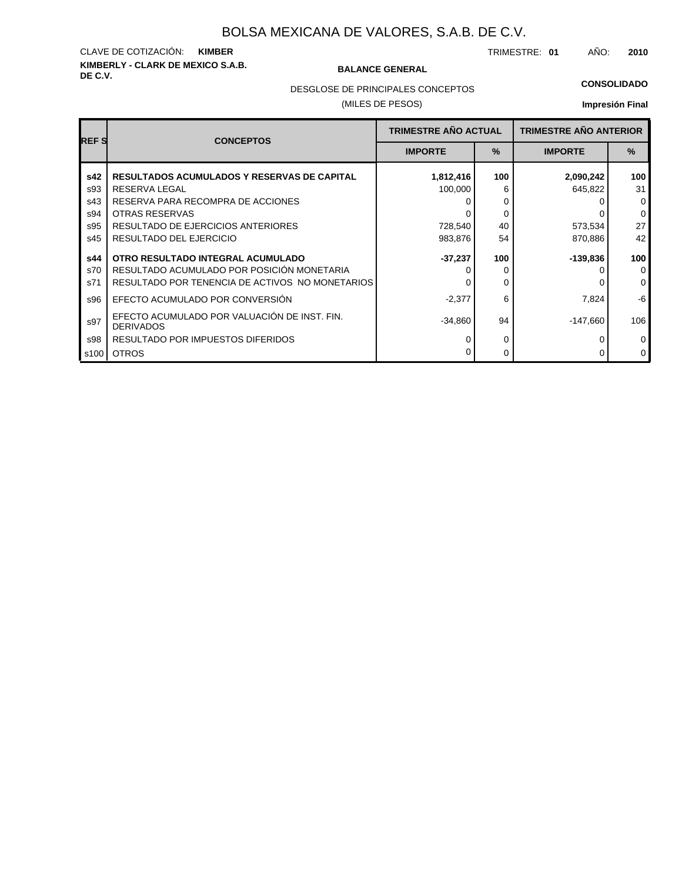# **KIMBERLY - CLARK DE MEXICO S.A.B.** CLAVE DE COTIZACIÓN: **KIMBER**

#### **BALANCE GENERAL**

TRIMESTRE: **01** AÑO: **2010**

DESGLOSE DE PRINCIPALES CONCEPTOS

### (MILES DE PESOS)

#### **CONSOLIDADO**

| <b>REF S</b>             | <b>CONCEPTOS</b>                                                                                                                         | <b>TRIMESTRE AÑO ACTUAL</b> |                    | <b>TRIMESTRE AÑO ANTERIOR</b> |                                         |  |
|--------------------------|------------------------------------------------------------------------------------------------------------------------------------------|-----------------------------|--------------------|-------------------------------|-----------------------------------------|--|
|                          |                                                                                                                                          | <b>IMPORTE</b>              | $\%$               | <b>IMPORTE</b>                | $\%$                                    |  |
| s42<br>s93<br>s43<br>s94 | <b>RESULTADOS ACUMULADOS Y RESERVAS DE CAPITAL</b><br>RESERVA LEGAL<br>RESERVA PARA RECOMPRA DE ACCIONES<br>OTRAS RESERVAS               | 1,812,416<br>100,000        | 100<br>6<br>0<br>0 | 2,090,242<br>645,822          | 100<br>31<br>$\mathbf 0$<br>$\mathbf 0$ |  |
| s95<br>s45               | RESULTADO DE EJERCICIOS ANTERIORES<br>RESULTADO DEL EJERCICIO                                                                            | 728,540<br>983,876          | 40<br>54           | 573,534<br>870,886            | 27<br>42                                |  |
| s44<br>s70<br>s71        | OTRO RESULTADO INTEGRAL ACUMULADO<br>RESULTADO ACUMULADO POR POSICIÓN MONETARIA<br>RESULTADO POR TENENCIA DE ACTIVOS NO MONETARIOS       | $-37,237$                   | 100<br>0           | -139,836                      | 100<br>$\mathbf 0$<br>$\mathbf 0$       |  |
| s96<br>s97<br>s98        | EFECTO ACUMULADO POR CONVERSIÓN<br>EFECTO ACUMULADO POR VALUACIÓN DE INST. FIN.<br><b>DERIVADOS</b><br>RESULTADO POR IMPUESTOS DIFERIDOS | $-2,377$<br>$-34,860$       | 6<br>94            | 7,824<br>-147,660             | -6<br>106<br>$\mathbf 0$                |  |
| s100                     | <b>OTROS</b>                                                                                                                             |                             | 0<br>0             |                               | $\mathbf 0$                             |  |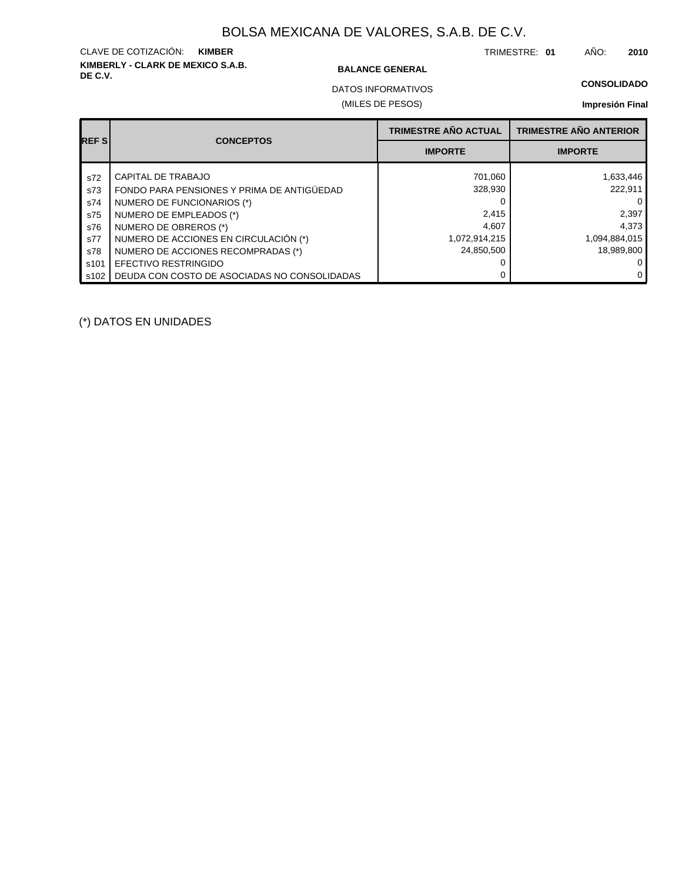# **KIMBERLY - CLARK DE MEXICO S.A.B.** CLAVE DE COTIZACIÓN: **KIMBER**

#### **BALANCE GENERAL**

TRIMESTRE: **01** AÑO: **2010**

### **CONSOLIDADO**

(MILES DE PESOS) DATOS INFORMATIVOS

### **Impresión Final**

| <b>REFS</b> | <b>CONCEPTOS</b>                             | <b>TRIMESTRE AÑO ACTUAL</b> | <b>TRIMESTRE AÑO ANTERIOR</b> |
|-------------|----------------------------------------------|-----------------------------|-------------------------------|
|             |                                              | <b>IMPORTE</b>              | <b>IMPORTE</b>                |
| s72         | CAPITAL DE TRABAJO                           | 701,060                     | 1,633,446                     |
| s73         | FONDO PARA PENSIONES Y PRIMA DE ANTIGÜEDAD   | 328,930                     | 222,911                       |
| s74         | NUMERO DE FUNCIONARIOS (*)                   |                             | $\Omega$                      |
| s75         | NUMERO DE EMPLEADOS (*)                      | 2,415                       | 2,397                         |
| s76         | NUMERO DE OBREROS (*)                        | 4,607                       | 4,373                         |
| s77         | NUMERO DE ACCIONES EN CIRCULACIÓN (*)        | 1,072,914,215               | 1,094,884,015                 |
| s78         | NUMERO DE ACCIONES RECOMPRADAS (*)           | 24,850,500                  | 18,989,800                    |
| s101        | EFECTIVO RESTRINGIDO                         |                             | 0                             |
| s102        | DEUDA CON COSTO DE ASOCIADAS NO CONSOLIDADAS |                             | $\mathbf{0}$                  |

(\*) DATOS EN UNIDADES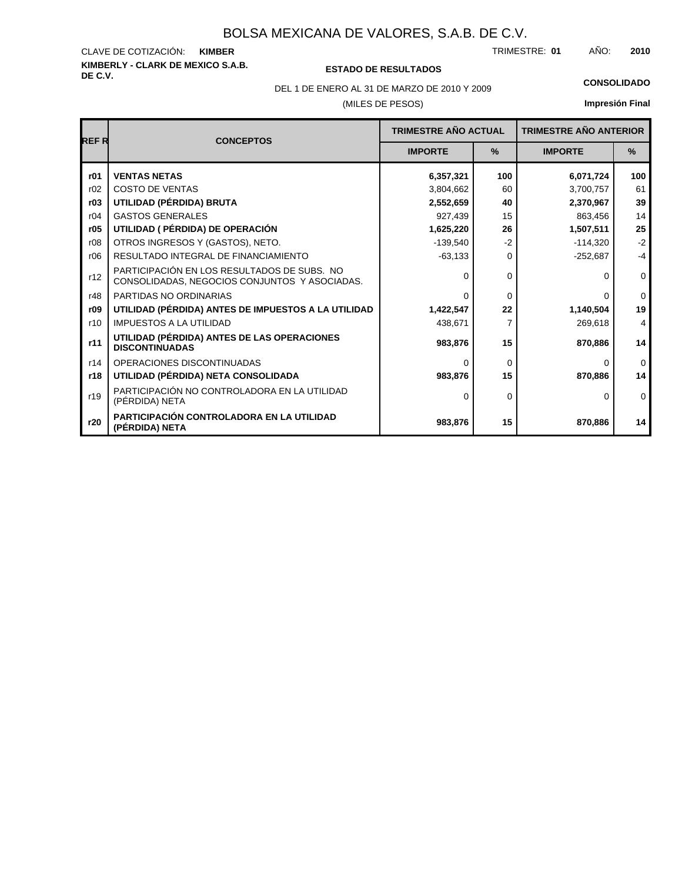# **KIMBERLY - CLARK DE MEXICO S.A.B.** CLAVE DE COTIZACIÓN:

## **DE C.V. ESTADO DE RESULTADOS**

TRIMESTRE: AÑO: **KIMBER 01 2010**

(MILES DE PESOS) DEL 1 DE ENERO AL 31 DE MARZO DE 2010 Y 2009 **CONSOLIDADO**

| <b>REFR</b> | <b>CONCEPTOS</b>                                                                             | <b>TRIMESTRE AÑO ACTUAL</b> |               | <b>TRIMESTRE AÑO ANTERIOR</b> |               |  |
|-------------|----------------------------------------------------------------------------------------------|-----------------------------|---------------|-------------------------------|---------------|--|
|             |                                                                                              | <b>IMPORTE</b>              | $\frac{9}{6}$ | <b>IMPORTE</b>                | $\frac{0}{0}$ |  |
| r01         | <b>VENTAS NETAS</b>                                                                          | 6,357,321                   | 100           | 6,071,724                     | 100           |  |
| r02         | <b>COSTO DE VENTAS</b>                                                                       | 3,804,662                   | 60            | 3,700,757                     | 61            |  |
| r03         | UTILIDAD (PÉRDIDA) BRUTA                                                                     | 2,552,659                   | 40            | 2,370,967                     | 39            |  |
| r04         | <b>GASTOS GENERALES</b>                                                                      | 927,439                     | 15            | 863,456                       | 14            |  |
| r05         | UTILIDAD ( PÉRDIDA) DE OPERACIÓN                                                             | 1,625,220                   | 26            | 1,507,511                     | 25            |  |
| r08         | OTROS INGRESOS Y (GASTOS), NETO.                                                             | $-139.540$                  | $-2$          | $-114.320$                    | $-2$          |  |
| r06         | RESULTADO INTEGRAL DE FINANCIAMIENTO                                                         | $-63,133$                   | $\Omega$      | $-252,687$                    | $-4$          |  |
| r12         | PARTICIPACIÓN EN LOS RESULTADOS DE SUBS. NO<br>CONSOLIDADAS, NEGOCIOS CONJUNTOS Y ASOCIADAS. | 0                           | 0             |                               | $\mathbf 0$   |  |
| r48         | PARTIDAS NO ORDINARIAS                                                                       | 0                           | $\Omega$      | O                             | $\Omega$      |  |
| r09         | UTILIDAD (PÉRDIDA) ANTES DE IMPUESTOS A LA UTILIDAD                                          | 1,422,547                   | 22            | 1,140,504                     | 19            |  |
| r10         | <b>IMPUESTOS A LA UTILIDAD</b>                                                               | 438,671                     |               | 269,618                       | 4             |  |
| r11         | UTILIDAD (PÉRDIDA) ANTES DE LAS OPERACIONES<br><b>DISCONTINUADAS</b>                         | 983,876                     | 15            | 870,886                       | 14            |  |
| r14         | OPERACIONES DISCONTINUADAS                                                                   | 0                           | $\Omega$      |                               | $\mathbf{0}$  |  |
| r18         | UTILIDAD (PÉRDIDA) NETA CONSOLIDADA                                                          | 983,876                     | 15            | 870,886                       | 14            |  |
| r19         | PARTICIPACIÓN NO CONTROLADORA EN LA UTILIDAD<br>(PÉRDIDA) NETA                               | 0                           | $\Omega$      | <sup>0</sup>                  | $\Omega$      |  |
| r20         | <b>PARTICIPACIÓN CONTROLADORA EN LA UTILIDAD</b><br>(PÉRDIDA) NETA                           | 983,876                     | 15            | 870,886                       | 14            |  |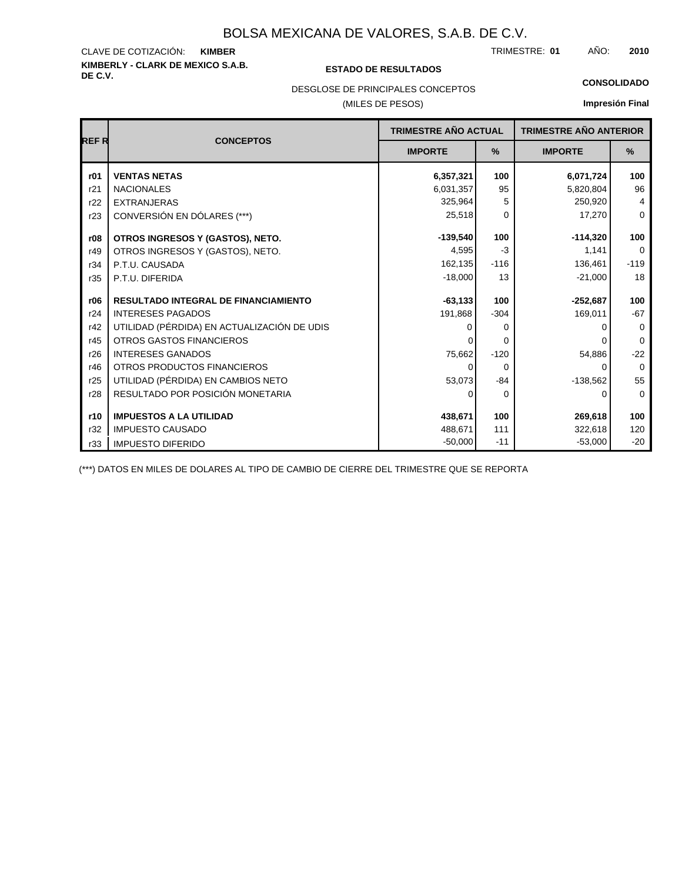# **KIMBERLY - CLARK DE MEXICO S.A.B.** CLAVE DE COTIZACIÓN:

#### **DE C.V. ESTADO DE RESULTADOS**

TRIMESTRE: AÑO: **KIMBER 01 2010**

**CONSOLIDADO**

## DESGLOSE DE PRINCIPALES CONCEPTOS

### (MILES DE PESOS)

# **Impresión Final**

| REF R | <b>CONCEPTOS</b>                            | TRIMESTRE AÑO ACTUAL |               | <b>TRIMESTRE AÑO ANTERIOR</b> |             |  |
|-------|---------------------------------------------|----------------------|---------------|-------------------------------|-------------|--|
|       |                                             | <b>IMPORTE</b>       | $\frac{9}{6}$ | <b>IMPORTE</b>                | %           |  |
| r01   | <b>VENTAS NETAS</b>                         | 6,357,321            | 100           | 6,071,724                     | 100         |  |
| r21   | <b>NACIONALES</b>                           | 6,031,357            | 95            | 5,820,804                     | 96          |  |
| r22   | <b>EXTRANJERAS</b>                          | 325,964              | 5             | 250,920                       | 4           |  |
| r23   | CONVERSIÓN EN DÓLARES (***)                 | 25,518               | 0             | 17,270                        | $\mathbf 0$ |  |
| r08   | OTROS INGRESOS Y (GASTOS), NETO.            | $-139,540$           | 100           | $-114,320$                    | 100         |  |
| r49   | OTROS INGRESOS Y (GASTOS), NETO.            | 4,595                | $-3$          | 1,141                         | $\mathbf 0$ |  |
| r34   | P.T.U. CAUSADA                              | 162,135              | $-116$        | 136,461                       | $-119$      |  |
| r35   | P.T.U. DIFERIDA                             | $-18,000$            | 13            | $-21,000$                     | 18          |  |
| r06   | <b>RESULTADO INTEGRAL DE FINANCIAMIENTO</b> | $-63.133$            | 100           | $-252,687$                    | 100         |  |
| r24   | <b>INTERESES PAGADOS</b>                    | 191,868              | $-304$        | 169,011                       | $-67$       |  |
| r42   | UTILIDAD (PÉRDIDA) EN ACTUALIZACIÓN DE UDIS |                      | $\Omega$      |                               | 0           |  |
| r45   | <b>OTROS GASTOS FINANCIEROS</b>             |                      | $\Omega$      |                               | $\Omega$    |  |
| r26   | <b>INTERESES GANADOS</b>                    | 75,662               | $-120$        | 54,886                        | $-22$       |  |
| r46   | OTROS PRODUCTOS FINANCIEROS                 | 0                    | $\Omega$      | 0                             | $\Omega$    |  |
| r25   | UTILIDAD (PÉRDIDA) EN CAMBIOS NETO          | 53,073               | $-84$         | $-138,562$                    | 55          |  |
| r28   | RESULTADO POR POSICIÓN MONETARIA            | 0                    | 0             | 0                             | 0           |  |
| r10   | <b>IMPUESTOS A LA UTILIDAD</b>              | 438,671              | 100           | 269,618                       | 100         |  |
| r32   | <b>IMPUESTO CAUSADO</b>                     | 488,671              | 111           | 322,618                       | 120         |  |
| r33   | <b>IMPUESTO DIFERIDO</b>                    | $-50,000$            | $-11$         | $-53,000$                     | $-20$       |  |

(\*\*\*) DATOS EN MILES DE DOLARES AL TIPO DE CAMBIO DE CIERRE DEL TRIMESTRE QUE SE REPORTA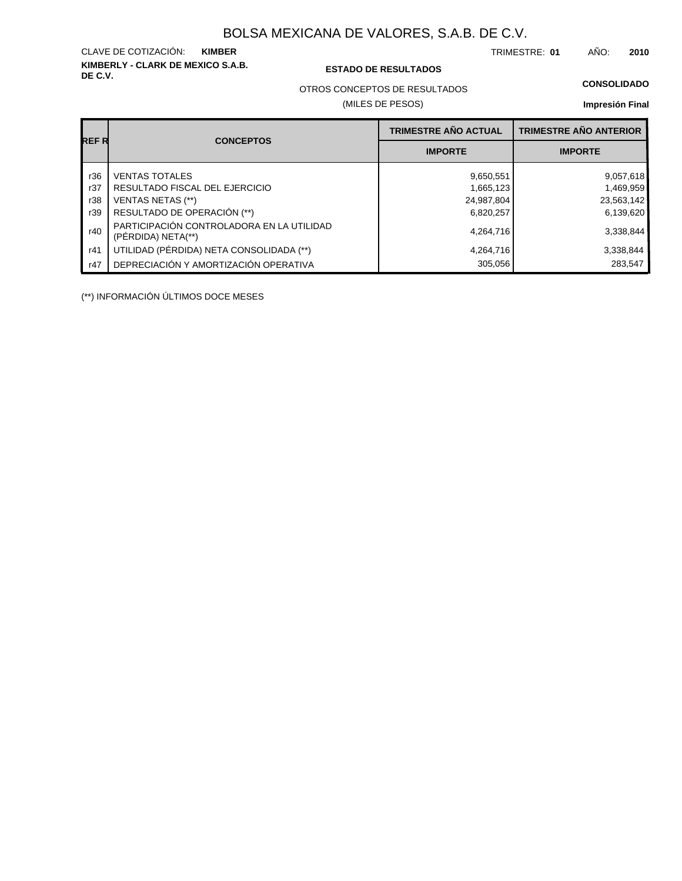**KIMBERLY - CLARK DE MEXICO S.A.B.** CLAVE DE COTIZACIÓN:

**DE C.V. ESTADO DE RESULTADOS**

TRIMESTRE: AÑO: **KIMBER 01 2010**

#### **CONSOLIDADO**

OTROS CONCEPTOS DE RESULTADOS

(MILES DE PESOS)

## **Impresión Final**

|       |                                                                 | <b>TRIMESTRE AÑO ACTUAL</b> | <b>TRIMESTRE AÑO ANTERIOR</b> |
|-------|-----------------------------------------------------------------|-----------------------------|-------------------------------|
| REF R | <b>CONCEPTOS</b>                                                | <b>IMPORTE</b>              | <b>IMPORTE</b>                |
| r36   | <b>VENTAS TOTALES</b>                                           | 9,650,551                   | 9,057,618                     |
| r37   | RESULTADO FISCAL DEL EJERCICIO                                  | 1,665,123                   | 1,469,959                     |
| r38   | VENTAS NETAS (**)                                               | 24,987,804                  | 23,563,142                    |
| r39   | RESULTADO DE OPERACIÓN (**)                                     | 6,820,257                   | 6,139,620                     |
| r40   | PARTICIPACIÓN CONTROLADORA EN LA UTILIDAD<br>(PERDIDA) NETA(**) | 4,264,716                   | 3,338,844                     |
| r41   | UTILIDAD (PÉRDIDA) NETA CONSOLIDADA (**)                        | 4,264,716                   | 3,338,844                     |
| r47   | DEPRECIACIÓN Y AMORTIZACIÓN OPERATIVA                           | 305,056                     | 283,547                       |

(\*\*) INFORMACIÓN ÚLTIMOS DOCE MESES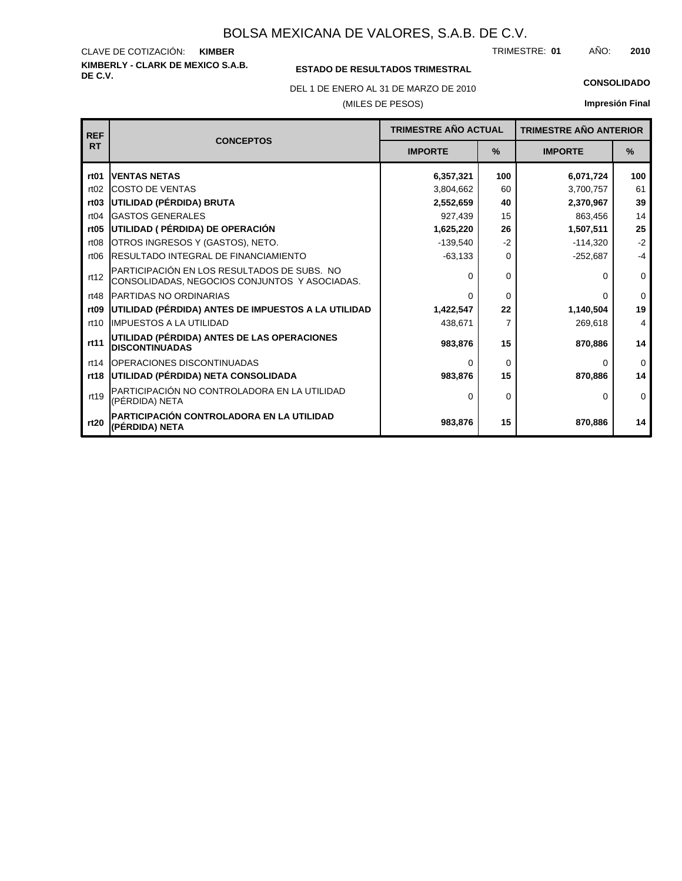#### **KIMBERLY - CLARK DE MEXICO S.A.B.** CLAVE DE COTIZACIÓN: TRIMESTRE: AÑO: **KIMBER 01 2010**

## **ESTADO DE RESULTADOS TRIMESTRAL**

DEL 1 DE ENERO AL 31 DE MARZO DE 2010 **CONSOLIDADO**

(MILES DE PESOS)

| <b>REF</b>       | <b>CONCEPTOS</b>                                                                             | <b>TRIMESTRE AÑO ACTUAL</b> |          | <b>TRIMESTRE AÑO ANTERIOR</b> |          |
|------------------|----------------------------------------------------------------------------------------------|-----------------------------|----------|-------------------------------|----------|
| <b>RT</b>        |                                                                                              | <b>IMPORTE</b>              | $\%$     | <b>IMPORTE</b>                | $\%$     |
| rt <sub>01</sub> | <b>IVENTAS NETAS</b>                                                                         | 6,357,321                   | 100      | 6,071,724                     | 100      |
| rt02             | <b>ICOSTO DE VENTAS</b>                                                                      | 3,804,662                   | 60       | 3,700,757                     | 61       |
| rt <sub>03</sub> | UTILIDAD (PÉRDIDA) BRUTA                                                                     | 2,552,659                   | 40       | 2,370,967                     | 39       |
| rt04             | <b>GASTOS GENERALES</b>                                                                      | 927,439                     | 15       | 863,456                       | 14       |
| rt <sub>05</sub> | UTILIDAD ( PÉRDIDA) DE OPERACIÓN                                                             | 1,625,220                   | 26       | 1,507,511                     | 25       |
| rt08             | OTROS INGRESOS Y (GASTOS), NETO.                                                             | $-139,540$                  | $-2$     | $-114,320$                    | $-2$     |
| rt06             | <b>IRESULTADO INTEGRAL DE FINANCIAMIENTO</b>                                                 | $-63,133$                   | 0        | $-252,687$                    | $-4$     |
| rt12             | PARTICIPACIÓN EN LOS RESULTADOS DE SUBS. NO<br>CONSOLIDADAS, NEGOCIOS CONJUNTOS Y ASOCIADAS. | $\Omega$                    | 0        | O                             | 0        |
| rt48             | <b>PARTIDAS NO ORDINARIAS</b>                                                                | $\Omega$                    | $\Omega$ | 0                             | $\Omega$ |
| rt <sub>09</sub> | UTILIDAD (PÉRDIDA) ANTES DE IMPUESTOS A LA UTILIDAD                                          | 1,422,547                   | 22       | 1,140,504                     | 19       |
| rt10             | <b>IIMPUESTOS A LA UTILIDAD</b>                                                              | 438,671                     | 7        | 269,618                       | 4        |
| rt11             | UTILIDAD (PÉRDIDA) ANTES DE LAS OPERACIONES<br><b>DISCONTINUADAS</b>                         | 983,876                     | 15       | 870,886                       | 14       |
| rt14             | <b>IOPERACIONES DISCONTINUADAS</b>                                                           | $\Omega$                    | $\Omega$ | 0                             | $\Omega$ |
|                  | rt18 UTILIDAD (PÉRDIDA) NETA CONSOLIDADA                                                     | 983,876                     | 15       | 870,886                       | 14       |
| rt19             | PARTICIPACIÓN NO CONTROLADORA EN LA UTILIDAD<br>(PÉRDIDA) NETA                               | $\Omega$                    | $\Omega$ | 0                             | $\Omega$ |
| rt20             | PARTICIPACIÓN CONTROLADORA EN LA UTILIDAD<br>(PÉRDIDA) NETA                                  | 983,876                     | 15       | 870,886                       | 14       |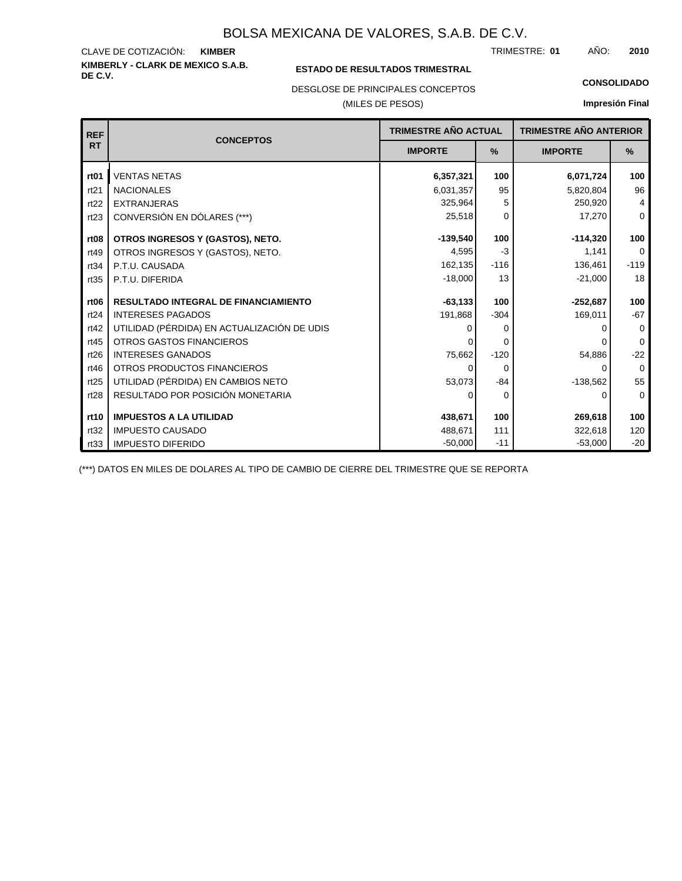#### **KIMBERLY - CLARK DE MEXICO S.A.B.** CLAVE DE COTIZACIÓN: TRIMESTRE: AÑO: **KIMBER 01 2010**

### **ESTADO DE RESULTADOS TRIMESTRAL**

DESGLOSE DE PRINCIPALES CONCEPTOS

#### (MILES DE PESOS)

#### **CONSOLIDADO**

**Impresión Final**

| <b>REF</b>       | <b>CONCEPTOS</b>                            | <b>TRIMESTRE AÑO ACTUAL</b> |          | <b>TRIMESTRE AÑO ANTERIOR</b> |                |
|------------------|---------------------------------------------|-----------------------------|----------|-------------------------------|----------------|
| <b>RT</b>        |                                             | <b>IMPORTE</b>              | $\%$     | <b>IMPORTE</b>                | %              |
| rt <sub>01</sub> | <b>VENTAS NETAS</b>                         | 6,357,321                   | 100      | 6,071,724                     | 100            |
| rt21             | <b>NACIONALES</b>                           | 6,031,357                   | 95       | 5,820,804                     | 96             |
| rt22             | <b>EXTRANJERAS</b>                          | 325,964                     | 5        | 250,920                       | $\overline{4}$ |
| rt23             | CONVERSIÓN EN DÓLARES (***)                 | 25,518                      | $\Omega$ | 17,270                        | $\mathbf 0$    |
| rt <sub>08</sub> | OTROS INGRESOS Y (GASTOS), NETO.            | $-139,540$                  | 100      | $-114,320$                    | 100            |
| rt49             | OTROS INGRESOS Y (GASTOS), NETO.            | 4,595                       | $-3$     | 1.141                         | $\Omega$       |
| rt34             | P.T.U. CAUSADA                              | 162,135                     | $-116$   | 136,461                       | $-119$         |
| rt35             | P.T.U. DIFERIDA                             | $-18,000$                   | 13       | $-21,000$                     | 18             |
| rt <sub>06</sub> | <b>RESULTADO INTEGRAL DE FINANCIAMIENTO</b> | $-63,133$                   | 100      | $-252,687$                    | 100            |
| rt24             | <b>INTERESES PAGADOS</b>                    | 191,868                     | $-304$   | 169,011                       | $-67$          |
| rt42             | UTILIDAD (PÉRDIDA) EN ACTUALIZACIÓN DE UDIS | 0                           | 0        |                               | $\Omega$       |
| rt45             | <b>OTROS GASTOS FINANCIEROS</b>             |                             | 0        | 0                             | $\Omega$       |
| rt26             | <b>INTERESES GANADOS</b>                    | 75,662                      | $-120$   | 54,886                        | $-22$          |
| rt46             | OTROS PRODUCTOS FINANCIEROS                 | 0                           | $\Omega$ | 0                             | $\Omega$       |
| rt25             | UTILIDAD (PÉRDIDA) EN CAMBIOS NETO          | 53,073                      | $-84$    | $-138,562$                    | 55             |
| rt28             | RESULTADO POR POSICIÓN MONETARIA            | 0                           | 0        | 0                             | $\mathbf 0$    |
|                  |                                             |                             |          |                               |                |
| rt10             | <b>IMPUESTOS A LA UTILIDAD</b>              | 438,671                     | 100      | 269,618                       | 100            |
| rt32             | <b>IMPUESTO CAUSADO</b>                     | 488,671                     | 111      | 322,618                       | 120            |
| rt33             | <b>IMPUESTO DIFERIDO</b>                    | $-50,000$                   | $-11$    | $-53,000$                     | $-20$          |

(\*\*\*) DATOS EN MILES DE DOLARES AL TIPO DE CAMBIO DE CIERRE DEL TRIMESTRE QUE SE REPORTA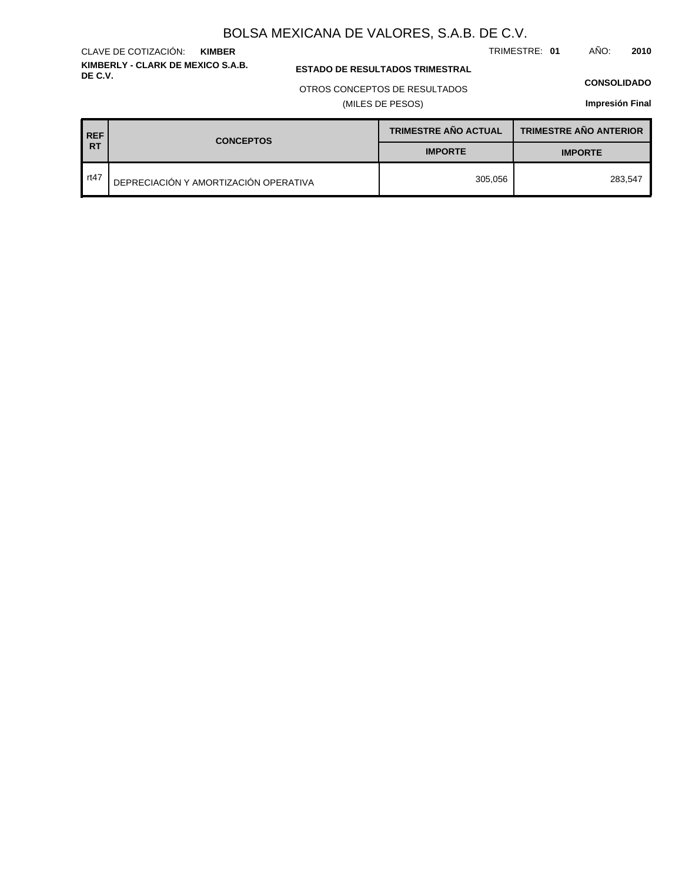TRIMESTRE: **01** AÑO: **2010**

#### **ESTADO DE RESULTADOS TRIMESTRAL**

#### OTROS CONCEPTOS DE RESULTADOS

(MILES DE PESOS)

#### **CONSOLIDADO**

**Impresión Final**

**TRIMESTRE AÑO ANTERIOR REF TRIMESTRE AÑO ACTUAL RT CONCEPTOS IMPORTE IMPORTE** rt47 DEPRECIACIÓN Y AMORTIZACIÓN OPERATIVA 305,056 283,547

#### **KIMBERLY - CLARK DE MEXICO S.A.B.** CLAVE DE COTIZACIÓN: **KIMBER**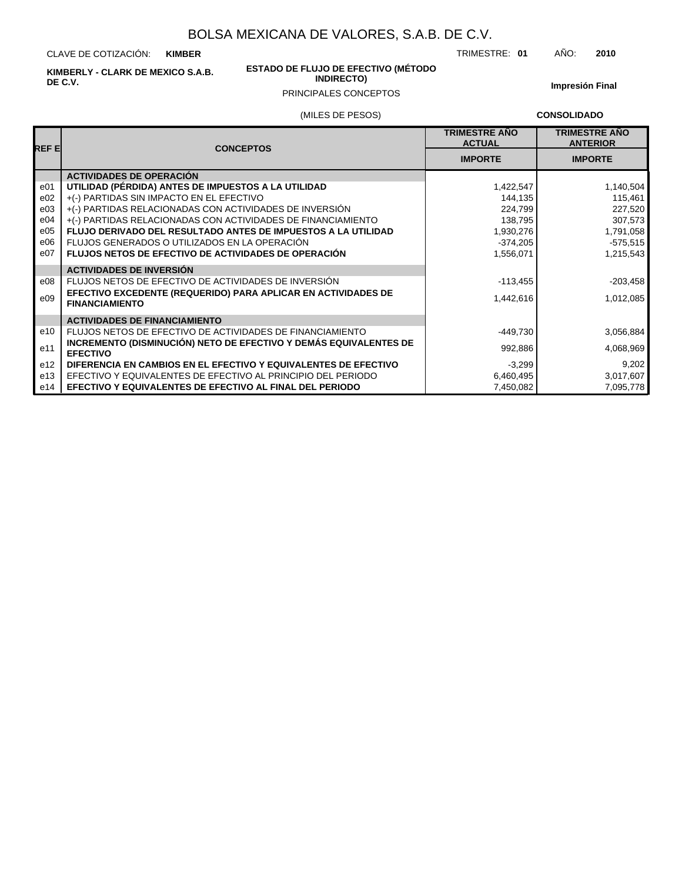CLAVE DE COTIZACIÓN: **KIMBER**

**KIMBERLY - CLARK DE MEXICO S.A.B. DE C.V.**

#### **ESTADO DE FLUJO DE EFECTIVO (MÉTODO INDIRECTO)**

**Impresión Final**

## (MILES DE PESOS) PRINCIPALES CONCEPTOS

**CONSOLIDADO**

| REF E           | <b>CONCEPTOS</b>                                                                       | <b>TRIMESTRE ANO</b><br><b>ACTUAL</b> | <b>TRIMESTRE AÑO</b><br><b>ANTERIOR</b> |
|-----------------|----------------------------------------------------------------------------------------|---------------------------------------|-----------------------------------------|
|                 |                                                                                        | <b>IMPORTE</b>                        | <b>IMPORTE</b>                          |
|                 | <b>ACTIVIDADES DE OPERACIÓN</b>                                                        |                                       |                                         |
| e01             | UTILIDAD (PÉRDIDA) ANTES DE IMPUESTOS A LA UTILIDAD                                    | 1,422,547                             | 1,140,504                               |
| e02             | +(-) PARTIDAS SIN IMPACTO EN EL EFECTIVO                                               | 144,135                               | 115,461                                 |
| e03             | +(-) PARTIDAS RELACIONADAS CON ACTIVIDADES DE INVERSIÓN                                | 224,799                               | 227,520                                 |
| e04             | +(-) PARTIDAS RELACIONADAS CON ACTIVIDADES DE FINANCIAMIENTO                           | 138,795                               | 307,573                                 |
| e05             | FLUJO DERIVADO DEL RESULTADO ANTES DE IMPUESTOS A LA UTILIDAD                          | 1,930,276                             | 1,791,058                               |
| e06             | FLUJOS GENERADOS O UTILIZADOS EN LA OPERACIÓN                                          | $-374,205$                            | $-575,515$                              |
| e07             | FLUJOS NETOS DE EFECTIVO DE ACTIVIDADES DE OPERACIÓN                                   | 1,556,071                             | 1,215,543                               |
|                 | <b>ACTIVIDADES DE INVERSIÓN</b>                                                        |                                       |                                         |
| e08             | FLUJOS NETOS DE EFECTIVO DE ACTIVIDADES DE INVERSIÓN                                   | $-113,455$                            | $-203,458$                              |
| e09             | EFECTIVO EXCEDENTE (REQUERIDO) PARA APLICAR EN ACTIVIDADES DE<br><b>FINANCIAMIENTO</b> | 1,442,616                             | 1,012,085                               |
|                 | <b>ACTIVIDADES DE FINANCIAMIENTO</b>                                                   |                                       |                                         |
| e10             | FLUJOS NETOS DE EFECTIVO DE ACTIVIDADES DE FINANCIAMIENTO                              | -449,730                              | 3,056,884                               |
| e11             | INCREMENTO (DISMINUCIÓN) NETO DE EFECTIVO Y DEMÁS EQUIVALENTES DE<br><b>EFECTIVO</b>   | 992,886                               | 4,068,969                               |
| e <sub>12</sub> | DIFERENCIA EN CAMBIOS EN EL EFECTIVO Y EQUIVALENTES DE EFECTIVO                        | $-3,299$                              | 9,202                                   |
| e13             | EFECTIVO Y EQUIVALENTES DE EFECTIVO AL PRINCIPIO DEL PERIODO                           | 6,460,495                             | 3,017,607                               |
| e14             | <b>EFECTIVO Y EQUIVALENTES DE EFECTIVO AL FINAL DEL PERIODO</b>                        | 7,450,082                             | 7,095,778                               |

#### TRIMESTRE: **01** AÑO: **2010**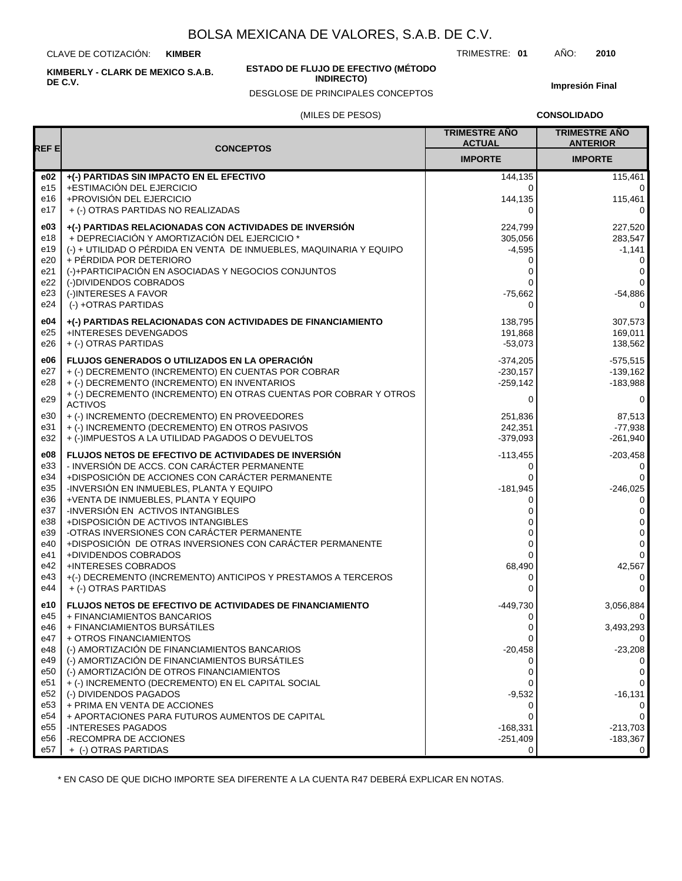CLAVE DE COTIZACIÓN: **KIMBER**

**KIMBERLY - CLARK DE MEXICO S.A.B. DE C.V.**

#### **ESTADO DE FLUJO DE EFECTIVO (MÉTODO INDIRECTO)**

DESGLOSE DE PRINCIPALES CONCEPTOS

**Impresión Final**

#### (MILES DE PESOS)

**CONSOLIDADO**

| REF E           |                                                                                                     | <b>TRIMESTRE AÑO</b><br><b>ACTUAL</b> | <b>TRIMESTRE AÑO</b><br><b>ANTERIOR</b> |
|-----------------|-----------------------------------------------------------------------------------------------------|---------------------------------------|-----------------------------------------|
|                 | <b>CONCEPTOS</b>                                                                                    | <b>IMPORTE</b>                        | <b>IMPORTE</b>                          |
| e02             | +(-) PARTIDAS SIN IMPACTO EN EL EFECTIVO                                                            | 144,135                               | 115,461                                 |
| e15<br>e16      | +ESTIMACIÓN DEL EJERCICIO<br>+PROVISIÓN DEL EJERCICIO                                               | 0<br>144,135                          | $\mathbf 0$<br>115,461                  |
| e17             | + (-) OTRAS PARTIDAS NO REALIZADAS                                                                  | $\Omega$                              | $\Omega$                                |
| e03             | +(-) PARTIDAS RELACIONADAS CON ACTIVIDADES DE INVERSIÓN                                             | 224,799                               | 227,520                                 |
| e18             | + DEPRECIACIÓN Y AMORTIZACIÓN DEL EJERCICIO *                                                       | 305,056                               | 283,547                                 |
| e19             | (-) + UTILIDAD O PÉRDIDA EN VENTA DE INMUEBLES, MAQUINARIA Y EQUIPO                                 | $-4,595$                              | $-1,141$                                |
| e20             | + PÉRDIDA POR DETERIORO                                                                             | 0                                     | 0                                       |
| e21<br>e22      | (-)+PARTICIPACIÓN EN ASOCIADAS Y NEGOCIOS CONJUNTOS<br>(-)DIVIDENDOS COBRADOS                       | 0<br>0                                | 0<br>$\mathbf 0$                        |
| e23             | (-)INTERESES A FAVOR                                                                                | $-75,662$                             | $-54,886$                               |
| e24             | (-) +OTRAS PARTIDAS                                                                                 | 0                                     | 0                                       |
| e04             | +(-) PARTIDAS RELACIONADAS CON ACTIVIDADES DE FINANCIAMIENTO                                        | 138,795                               | 307,573                                 |
| e25             | +INTERESES DEVENGADOS                                                                               | 191,868                               | 169,011                                 |
| e26             | + (-) OTRAS PARTIDAS                                                                                | $-53,073$                             | 138,562                                 |
| e06             | <b>FLUJOS GENERADOS O UTILIZADOS EN LA OPERACIÓN</b>                                                | $-374,205$                            | $-575,515$                              |
| e27<br>e28      | + (-) DECREMENTO (INCREMENTO) EN CUENTAS POR COBRAR<br>+ (-) DECREMENTO (INCREMENTO) EN INVENTARIOS | $-230,157$<br>$-259,142$              | $-139.162$<br>$-183,988$                |
|                 | + (-) DECREMENTO (INCREMENTO) EN OTRAS CUENTAS POR COBRAR Y OTROS                                   |                                       |                                         |
| e29             | <b>ACTIVOS</b>                                                                                      | 0                                     | 0                                       |
| e30<br>e31      | + (-) INCREMENTO (DECREMENTO) EN PROVEEDORES<br>+ (-) INCREMENTO (DECREMENTO) EN OTROS PASIVOS      | 251.836<br>242,351                    | 87.513<br>$-77,938$                     |
| e32             | + (-)IMPUESTOS A LA UTILIDAD PAGADOS O DEVUELTOS                                                    | $-379,093$                            | $-261.940$                              |
| e08             | FLUJOS NETOS DE EFECTIVO DE ACTIVIDADES DE INVERSIÓN                                                | $-113,455$                            | $-203,458$                              |
| e33             | - INVERSIÓN DE ACCS. CON CARÁCTER PERMANENTE                                                        | 0                                     | 0                                       |
| e34             | +DISPOSICIÓN DE ACCIONES CON CARÁCTER PERMANENTE                                                    |                                       | $\mathbf 0$                             |
| e35             | -INVERSIÓN EN INMUEBLES, PLANTA Y EQUIPO                                                            | $-181,945$                            | $-246,025$                              |
| e36<br>e37      | +VENTA DE INMUEBLES, PLANTA Y EQUIPO<br>-INVERSIÓN EN ACTIVOS INTANGIBLES                           | 0<br>0                                | 0<br>$\mathbf 0$                        |
| e38             | +DISPOSICIÓN DE ACTIVOS INTANGIBLES                                                                 |                                       | 0                                       |
| e39             | -OTRAS INVERSIONES CON CARÁCTER PERMANENTE                                                          | 0                                     | 0                                       |
| e40             | +DISPOSICIÓN DE OTRAS INVERSIONES CON CARÁCTER PERMANENTE                                           | 0                                     | $\mathbf 0$<br>$\mathbf{0}$             |
| e41<br>e42      | +DIVIDENDOS COBRADOS<br>+INTERESES COBRADOS                                                         | 0<br>68,490                           | 42,567                                  |
| e43             | +(-) DECREMENTO (INCREMENTO) ANTICIPOS Y PRESTAMOS A TERCEROS                                       | 0                                     | 0                                       |
| e44             | + (-) OTRAS PARTIDAS                                                                                | 0                                     | $\mathbf 0$                             |
| e10             | <b>FLUJOS NETOS DE EFECTIVO DE ACTIVIDADES DE FINANCIAMIENTO</b>                                    | $-449,730$                            | 3,056,884                               |
| e45<br>e46      | + FINANCIAMIENTOS BANCARIOS                                                                         | 0                                     | 0                                       |
| e47             | + FINANCIAMIENTOS BURSÁTILES<br>+ OTROS FINANCIAMIENTOS                                             | 0                                     | 3,493,293<br>0                          |
| e48             | (-) AMORTIZACIÓN DE FINANCIAMIENTOS BANCARIOS                                                       | $-20,458$                             | $-23,208$                               |
| e49             | (-) AMORTIZACIÓN DE FINANCIAMIENTOS BURSÁTILES                                                      |                                       | 0                                       |
| e50             | (-) AMORTIZACIÓN DE OTROS FINANCIAMIENTOS                                                           | 0                                     | 0<br>$\mathbf 0$                        |
| e51<br>e52      | + (-) INCREMENTO (DECREMENTO) EN EL CAPITAL SOCIAL<br>(-) DIVIDENDOS PAGADOS                        | $-9,532$                              | $-16,131$                               |
| e <sub>53</sub> | + PRIMA EN VENTA DE ACCIONES                                                                        |                                       | 0                                       |
| e54             | + APORTACIONES PARA FUTUROS AUMENTOS DE CAPITAL                                                     | 0                                     | $\mathbf 0$                             |
| e <sub>55</sub> | -INTERESES PAGADOS                                                                                  | $-168,331$                            | $-213,703$                              |
| e56<br>e57      | -RECOMPRA DE ACCIONES<br>+ (-) OTRAS PARTIDAS                                                       | $-251,409$<br>0                       | $-183,367$<br>0                         |
|                 |                                                                                                     |                                       |                                         |

\* EN CASO DE QUE DICHO IMPORTE SEA DIFERENTE A LA CUENTA R47 DEBERÁ EXPLICAR EN NOTAS.

TRIMESTRE: **01** AÑO: **2010**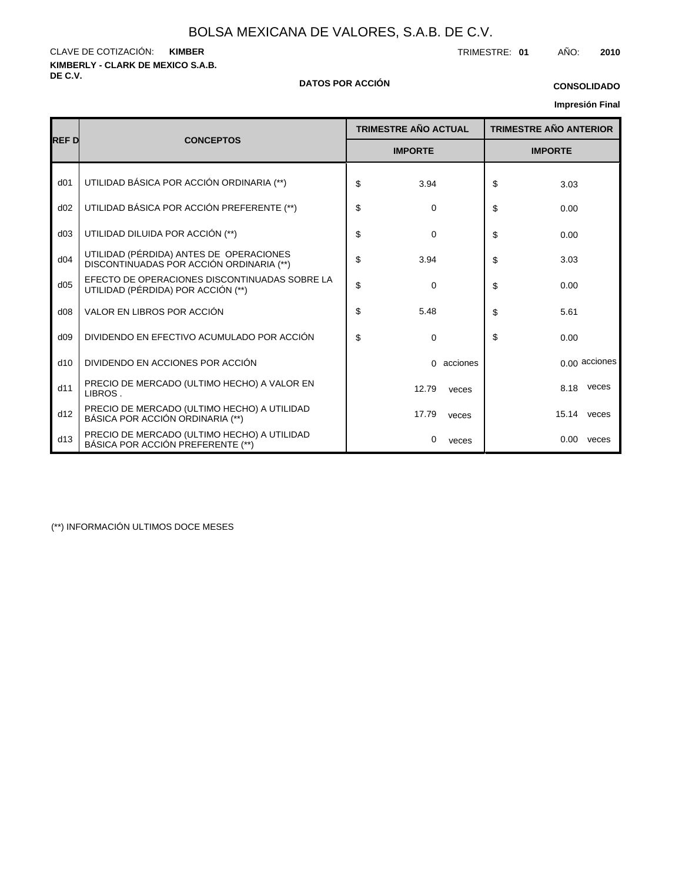**KIMBERLY - CLARK DE MEXICO S.A.B.** CLAVE DE COTIZACIÓN: TRIMESTRE: **01** AÑO: **2010 KIMBER**

#### **DE C.V. DATOS POR ACCIÓN**

## **Impresión Final CONSOLIDADO**

|                 |                                                                                     | <b>TRIMESTRE AÑO ACTUAL</b> |                | <b>TRIMESTRE AÑO ANTERIOR</b> |
|-----------------|-------------------------------------------------------------------------------------|-----------------------------|----------------|-------------------------------|
| <b>REFD</b>     | <b>CONCEPTOS</b>                                                                    | <b>IMPORTE</b>              | <b>IMPORTE</b> |                               |
| d <sub>01</sub> | UTILIDAD BÁSICA POR ACCIÓN ORDINARIA (**)                                           | \$<br>3.94                  | \$             | 3.03                          |
| d02             | UTILIDAD BÁSICA POR ACCIÓN PREFERENTE (**)                                          | \$<br>0                     | \$             | 0.00                          |
| d03             | UTILIDAD DILUIDA POR ACCIÓN (**)                                                    | \$<br>$\mathbf 0$           | \$             | 0.00                          |
| d04             | UTILIDAD (PÉRDIDA) ANTES DE OPERACIONES<br>DISCONTINUADAS POR ACCIÓN ORDINARIA (**) | \$<br>3.94                  | \$             | 3.03                          |
| d05             | EFECTO DE OPERACIONES DISCONTINUADAS SOBRE LA<br>UTILIDAD (PÉRDIDA) POR ACCIÓN (**) | \$<br>$\Omega$              | \$             | 0.00                          |
| d08             | VALOR EN LIBROS POR ACCIÓN                                                          | \$<br>5.48                  | \$             | 5.61                          |
| d09             | DIVIDENDO EN EFECTIVO ACUMULADO POR ACCIÓN                                          | \$<br>0                     | \$             | 0.00                          |
| d10             | DIVIDENDO EN ACCIONES POR ACCIÓN                                                    | acciones<br>0               |                | 0.00 acciones                 |
| d11             | PRECIO DE MERCADO (ULTIMO HECHO) A VALOR EN<br>LIBROS.                              | 12.79<br>veces              |                | veces<br>8.18                 |
| d12             | PRECIO DE MERCADO (ULTIMO HECHO) A UTILIDAD<br>BÁSICA POR ACCIÓN ORDINARIA (**)     | 17.79<br>veces              |                | 15.14 veces                   |
| d13             | PRECIO DE MERCADO (ULTIMO HECHO) A UTILIDAD<br>BÁSICA POR ACCIÓN PREFERENTE (**)    | 0<br>veces                  |                | 0.00<br>veces                 |

(\*\*) INFORMACIÓN ULTIMOS DOCE MESES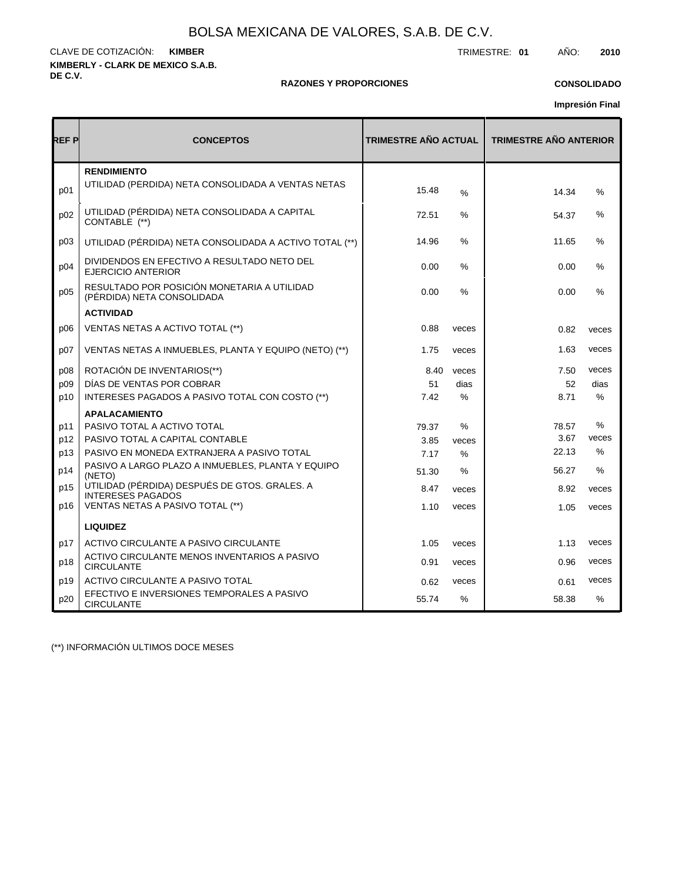**KIMBERLY - CLARK DE MEXICO S.A.B. DE C.V.** CLAVE DE COTIZACIÓN: TRIMESTRE: **01** AÑO: **2010 KIMBER**

#### **RAZONES Y PROPORCIONES**

## **CONSOLIDADO**

**Impresión Final**

| REF P | <b>CONCEPTOS</b>                                                          | <b>TRIMESTRE AÑO ACTUAL</b> |               | <b>TRIMESTRE AÑO ANTERIOR</b> |               |  |
|-------|---------------------------------------------------------------------------|-----------------------------|---------------|-------------------------------|---------------|--|
| p01   | <b>RENDIMIENTO</b><br>UTILIDAD (PERDIDA) NETA CONSOLIDADA A VENTAS NETAS  | 15.48                       | $\frac{0}{0}$ | 14.34                         | $\%$          |  |
| p02   | UTILIDAD (PÉRDIDA) NETA CONSOLIDADA A CAPITAL<br>CONTABLE (**)            | 72.51                       | ℅             | 54.37                         | %             |  |
| D03   | UTILIDAD (PÉRDIDA) NETA CONSOLIDADA A ACTIVO TOTAL (**)                   | 14.96                       | $\%$          | 11.65                         | %             |  |
| p04   | DIVIDENDOS EN EFECTIVO A RESULTADO NETO DEL<br><b>EJERCICIO ANTERIOR</b>  | 0.00                        | %             | 0.00                          | %             |  |
| p05   | RESULTADO POR POSICIÓN MONETARIA A UTILIDAD<br>(PÉRDIDA) NETA CONSOLIDADA | 0.00                        | $\frac{1}{2}$ | 0.00                          | $\%$          |  |
|       | <b>ACTIVIDAD</b>                                                          |                             |               |                               |               |  |
| p06   | VENTAS NETAS A ACTIVO TOTAL (**)                                          | 0.88                        | veces         | 0.82                          | veces         |  |
| p07   | VENTAS NETAS A INMUEBLES, PLANTA Y EQUIPO (NETO) (**)                     | 1.75                        | veces         | 1.63                          | veces         |  |
| p08   | ROTACIÓN DE INVENTARIOS(**)                                               | 8.40                        | veces         | 7.50                          | veces         |  |
| p09   | DÍAS DE VENTAS POR COBRAR                                                 | 51                          | dias          | 52                            | dias          |  |
| p10   | INTERESES PAGADOS A PASIVO TOTAL CON COSTO (**)                           | 7.42                        | ℅             | 8.71                          | %             |  |
|       | <b>APALACAMIENTO</b>                                                      |                             |               |                               |               |  |
| p11   | PASIVO TOTAL A ACTIVO TOTAL                                               | 79.37                       | $\%$          | 78.57                         | $\frac{9}{6}$ |  |
| p12   | PASIVO TOTAL A CAPITAL CONTABLE                                           | 3.85                        | veces         | 3.67                          | veces         |  |
| p13   | PASIVO EN MONEDA EXTRANJERA A PASIVO TOTAL                                | 7.17                        | %             | 22.13                         | $\%$          |  |
| p14   | PASIVO A LARGO PLAZO A INMUEBLES, PLANTA Y EQUIPO<br>(NETO)               | 51.30                       | $\%$          | 56.27                         | $\frac{0}{0}$ |  |
| p15   | UTILIDAD (PÉRDIDA) DESPUÉS DE GTOS. GRALES. A<br><b>INTERESES PAGADOS</b> | 8.47                        | veces         | 8.92                          | veces         |  |
| p16   | VENTAS NETAS A PASIVO TOTAL (**)                                          | 1.10                        | veces         | 1.05                          | veces         |  |
|       | <b>LIQUIDEZ</b>                                                           |                             |               |                               |               |  |
| p17   | ACTIVO CIRCULANTE A PASIVO CIRCULANTE                                     | 1.05                        | veces         | 1.13                          | veces         |  |
| p18   | ACTIVO CIRCULANTE MENOS INVENTARIOS A PASIVO<br><b>CIRCULANTE</b>         | 0.91                        | veces         | 0.96                          | veces         |  |
| p19   | ACTIVO CIRCULANTE A PASIVO TOTAL                                          | 0.62                        | veces         | 0.61                          | veces         |  |
| p20   | EFECTIVO E INVERSIONES TEMPORALES A PASIVO<br><b>CIRCULANTE</b>           | 55.74                       | $\%$          | 58.38                         | $\frac{9}{6}$ |  |

(\*\*) INFORMACIÓN ULTIMOS DOCE MESES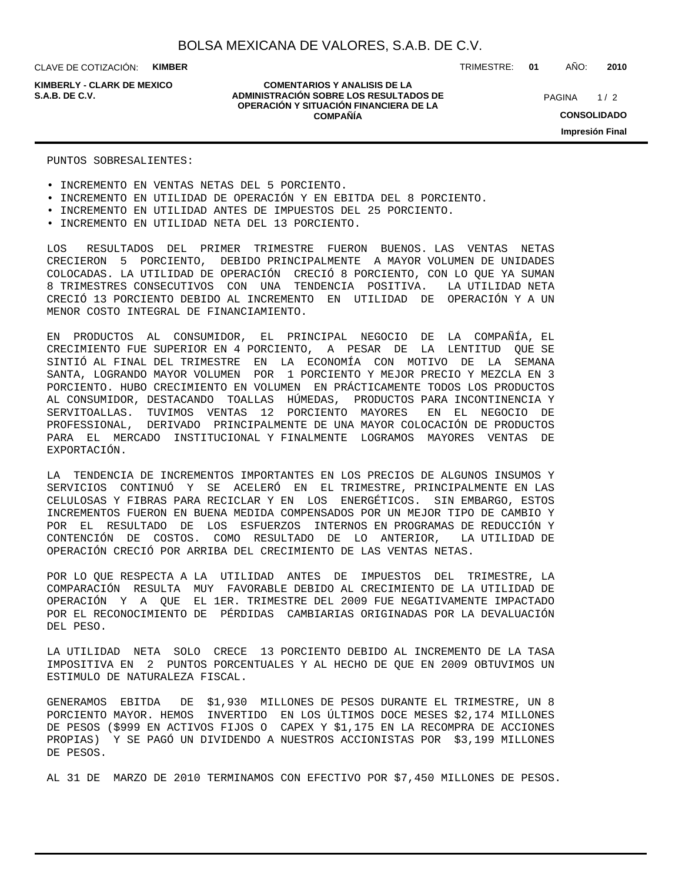CLAVE DE COTIZACIÓN: **KIMBER**

**KIMBERLY - CLARK DE MEXICO**

#### **COMENTARIOS Y ANALISIS DE LA ADMINISTRACIÓN SOBRE LOS RESULTADOS DE S.A.B. DE C.V.** PAGINA / 2 **OPERACIÓN Y SITUACIÓN FINANCIERA DE LA COMPAÑÍA**

TRIMESTRE: **01** AÑO: **2010**

 $1/2$ **CONSOLIDADO Impresión Final**

PUNTOS SOBRESALIENTES:

- INCREMENTO EN VENTAS NETAS DEL 5 PORCIENTO.
- INCREMENTO EN UTILIDAD DE OPERACIÓN Y EN EBITDA DEL 8 PORCIENTO.
- INCREMENTO EN UTILIDAD ANTES DE IMPUESTOS DEL 25 PORCIENTO.
- INCREMENTO EN UTILIDAD NETA DEL 13 PORCIENTO.

LOS RESULTADOS DEL PRIMER TRIMESTRE FUERON BUENOS. LAS VENTAS NETAS CRECIERON 5 PORCIENTO, DEBIDO PRINCIPALMENTE A MAYOR VOLUMEN DE UNIDADES COLOCADAS. LA UTILIDAD DE OPERACIÓN CRECIÓ 8 PORCIENTO, CON LO QUE YA SUMAN 8 TRIMESTRES CONSECUTIVOS CON UNA TENDENCIA POSITIVA. LA UTILIDAD NETA CRECIÓ 13 PORCIENTO DEBIDO AL INCREMENTO EN UTILIDAD DE OPERACIÓN Y A UN MENOR COSTO INTEGRAL DE FINANCIAMIENTO.

EN PRODUCTOS AL CONSUMIDOR, EL PRINCIPAL NEGOCIO DE LA COMPAÑÍA, EL CRECIMIENTO FUE SUPERIOR EN 4 PORCIENTO, A PESAR DE LA LENTITUD QUE SE SINTIÓ AL FINAL DEL TRIMESTRE EN LA ECONOMÍA CON MOTIVO DE LA SEMANA SANTA, LOGRANDO MAYOR VOLUMEN POR 1 PORCIENTO Y MEJOR PRECIO Y MEZCLA EN 3 PORCIENTO. HUBO CRECIMIENTO EN VOLUMEN EN PRÁCTICAMENTE TODOS LOS PRODUCTOS AL CONSUMIDOR, DESTACANDO TOALLAS HÚMEDAS, PRODUCTOS PARA INCONTINENCIA Y SERVITOALLAS. TUVIMOS VENTAS 12 PORCIENTO MAYORES EN EL NEGOCIO DE PROFESSIONAL, DERIVADO PRINCIPALMENTE DE UNA MAYOR COLOCACIÓN DE PRODUCTOS PARA EL MERCADO INSTITUCIONAL Y FINALMENTE LOGRAMOS MAYORES VENTAS DE EXPORTACIÓN.

LA TENDENCIA DE INCREMENTOS IMPORTANTES EN LOS PRECIOS DE ALGUNOS INSUMOS Y SERVICIOS CONTINUÓ Y SE ACELERÓ EN EL TRIMESTRE, PRINCIPALMENTE EN LAS CELULOSAS Y FIBRAS PARA RECICLAR Y EN LOS ENERGÉTICOS. SIN EMBARGO, ESTOS INCREMENTOS FUERON EN BUENA MEDIDA COMPENSADOS POR UN MEJOR TIPO DE CAMBIO Y POR EL RESULTADO DE LOS ESFUERZOS INTERNOS EN PROGRAMAS DE REDUCCIÓN Y CONTENCIÓN DE COSTOS. COMO RESULTADO DE LO ANTERIOR, LA UTILIDAD DE OPERACIÓN CRECIÓ POR ARRIBA DEL CRECIMIENTO DE LAS VENTAS NETAS.

POR LO QUE RESPECTA A LA UTILIDAD ANTES DE IMPUESTOS DEL TRIMESTRE, LA COMPARACIÓN RESULTA MUY FAVORABLE DEBIDO AL CRECIMIENTO DE LA UTILIDAD DE OPERACIÓN Y A QUE EL 1ER. TRIMESTRE DEL 2009 FUE NEGATIVAMENTE IMPACTADO POR EL RECONOCIMIENTO DE PÉRDIDAS CAMBIARIAS ORIGINADAS POR LA DEVALUACIÓN DEL PESO.

LA UTILIDAD NETA SOLO CRECE 13 PORCIENTO DEBIDO AL INCREMENTO DE LA TASA IMPOSITIVA EN 2 PUNTOS PORCENTUALES Y AL HECHO DE QUE EN 2009 OBTUVIMOS UN ESTIMULO DE NATURALEZA FISCAL.

GENERAMOS EBITDA DE \$1,930 MILLONES DE PESOS DURANTE EL TRIMESTRE, UN 8 PORCIENTO MAYOR. HEMOS INVERTIDO EN LOS ÚLTIMOS DOCE MESES \$2,174 MILLONES DE PESOS (\$999 EN ACTIVOS FIJOS O CAPEX Y \$1,175 EN LA RECOMPRA DE ACCIONES PROPIAS) Y SE PAGÓ UN DIVIDENDO A NUESTROS ACCIONISTAS POR \$3,199 MILLONES DE PESOS.

AL 31 DE MARZO DE 2010 TERMINAMOS CON EFECTIVO POR \$7,450 MILLONES DE PESOS.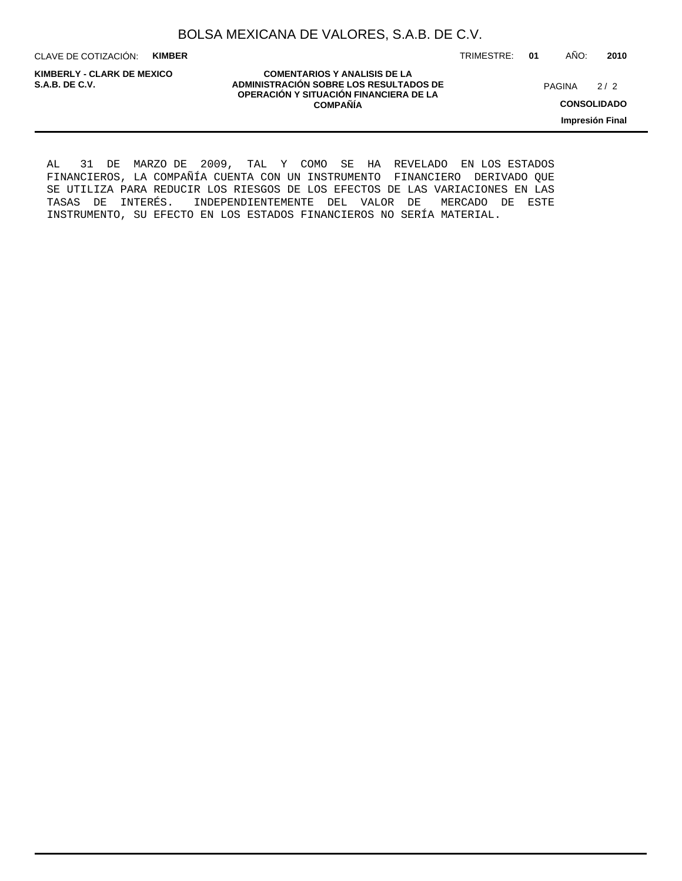CLAVE DE COTIZACIÓN: **KIMBER**

**KIMBERLY - CLARK DE MEXICO**

**COMENTARIOS Y ANALISIS DE LA ADMINISTRACIÓN SOBRE LOS RESULTADOS DE PAGINA 2/2 ADMINISTRACIÓN SOBRE LOS RESULTADOS DE** PAGINA 2/2 **OPERACIÓN Y SITUACIÓN FINANCIERA DE LA COMPAÑÍA**

 $2/2$ 

TRIMESTRE: **01** AÑO: **2010**

**CONSOLIDADO**

**Impresión Final**

AL 31 DE MARZO DE 2009, TAL Y COMO SE HA REVELADO EN LOS ESTADOS FINANCIEROS, LA COMPAÑÍA CUENTA CON UN INSTRUMENTO FINANCIERO DERIVADO QUE SE UTILIZA PARA REDUCIR LOS RIESGOS DE LOS EFECTOS DE LAS VARIACIONES EN LAS TASAS DE INTERÉS. INDEPENDIENTEMENTE DEL VALOR DE MERCADO DE ESTE INSTRUMENTO, SU EFECTO EN LOS ESTADOS FINANCIEROS NO SERÍA MATERIAL.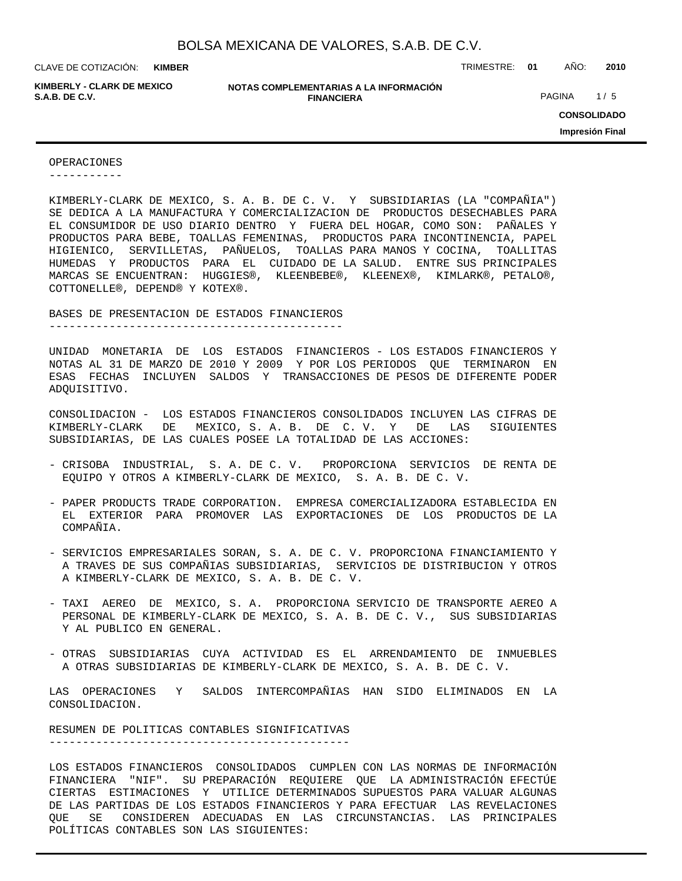**KIMBER**

**KIMBERLY - CLARK DE MEXICO**

**NOTAS COMPLEMENTARIAS A LA INFORMACIÓN FINANCIERA S.A.B. DE C.V.** PAGINA 1/5

CLAVE DE COTIZACIÓN: TRIMESTRE: **01** AÑO: **2010**

**CONSOLIDADO Impresión Final**

OPERACIONES

-----------

KIMBERLY-CLARK DE MEXICO, S. A. B. DE C. V. Y SUBSIDIARIAS (LA "COMPAÑIA") SE DEDICA A LA MANUFACTURA Y COMERCIALIZACION DE PRODUCTOS DESECHABLES PARA EL CONSUMIDOR DE USO DIARIO DENTRO Y FUERA DEL HOGAR, COMO SON: PAÑALES Y PRODUCTOS PARA BEBE, TOALLAS FEMENINAS, PRODUCTOS PARA INCONTINENCIA, PAPEL HIGIENICO, SERVILLETAS, PAÑUELOS, TOALLAS PARA MANOS Y COCINA, TOALLITAS HUMEDAS Y PRODUCTOS PARA EL CUIDADO DE LA SALUD. ENTRE SUS PRINCIPALES MARCAS SE ENCUENTRAN: HUGGIES®, KLEENBEBE®, KLEENEX®, KIMLARK®, PETALO®, COTTONELLE®, DEPEND® Y KOTEX®.

BASES DE PRESENTACION DE ESTADOS FINANCIEROS

--------------------------------------------

UNIDAD MONETARIA DE LOS ESTADOS FINANCIEROS - LOS ESTADOS FINANCIEROS Y NOTAS AL 31 DE MARZO DE 2010 Y 2009 Y POR LOS PERIODOS QUE TERMINARON EN ESAS FECHAS INCLUYEN SALDOS Y TRANSACCIONES DE PESOS DE DIFERENTE PODER ADQUISITIVO.

CONSOLIDACION - LOS ESTADOS FINANCIEROS CONSOLIDADOS INCLUYEN LAS CIFRAS DE KIMBERLY-CLARK DE MEXICO, S. A. B. DE C. V. Y DE LAS SIGUIENTES SUBSIDIARIAS, DE LAS CUALES POSEE LA TOTALIDAD DE LAS ACCIONES:

- CRISOBA INDUSTRIAL, S. A. DE C. V. PROPORCIONA SERVICIOS DE RENTA DE EQUIPO Y OTROS A KIMBERLY-CLARK DE MEXICO, S. A. B. DE C. V.
- PAPER PRODUCTS TRADE CORPORATION. EMPRESA COMERCIALIZADORA ESTABLECIDA EN EL EXTERIOR PARA PROMOVER LAS EXPORTACIONES DE LOS PRODUCTOS DE LA COMPAÑIA.
- SERVICIOS EMPRESARIALES SORAN, S. A. DE C. V. PROPORCIONA FINANCIAMIENTO Y A TRAVES DE SUS COMPAÑIAS SUBSIDIARIAS, SERVICIOS DE DISTRIBUCION Y OTROS A KIMBERLY-CLARK DE MEXICO, S. A. B. DE C. V.
- TAXI AEREO DE MEXICO, S. A. PROPORCIONA SERVICIO DE TRANSPORTE AEREO A PERSONAL DE KIMBERLY-CLARK DE MEXICO, S. A. B. DE C. V., SUS SUBSIDIARIAS Y AL PUBLICO EN GENERAL.
- OTRAS SUBSIDIARIAS CUYA ACTIVIDAD ES EL ARRENDAMIENTO DE INMUEBLES A OTRAS SUBSIDIARIAS DE KIMBERLY-CLARK DE MEXICO, S. A. B. DE C. V.

LAS OPERACIONES Y SALDOS INTERCOMPAÑIAS HAN SIDO ELIMINADOS EN LA CONSOLIDACION.

RESUMEN DE POLITICAS CONTABLES SIGNIFICATIVAS ---------------------------------------------

LOS ESTADOS FINANCIEROS CONSOLIDADOS CUMPLEN CON LAS NORMAS DE INFORMACIÓN FINANCIERA "NIF". SU PREPARACIÓN REQUIERE QUE LA ADMINISTRACIÓN EFECTÚE CIERTAS ESTIMACIONES Y UTILICE DETERMINADOS SUPUESTOS PARA VALUAR ALGUNAS DE LAS PARTIDAS DE LOS ESTADOS FINANCIEROS Y PARA EFECTUAR LAS REVELACIONES QUE SE CONSIDEREN ADECUADAS EN LAS CIRCUNSTANCIAS. LAS PRINCIPALES POLÍTICAS CONTABLES SON LAS SIGUIENTES: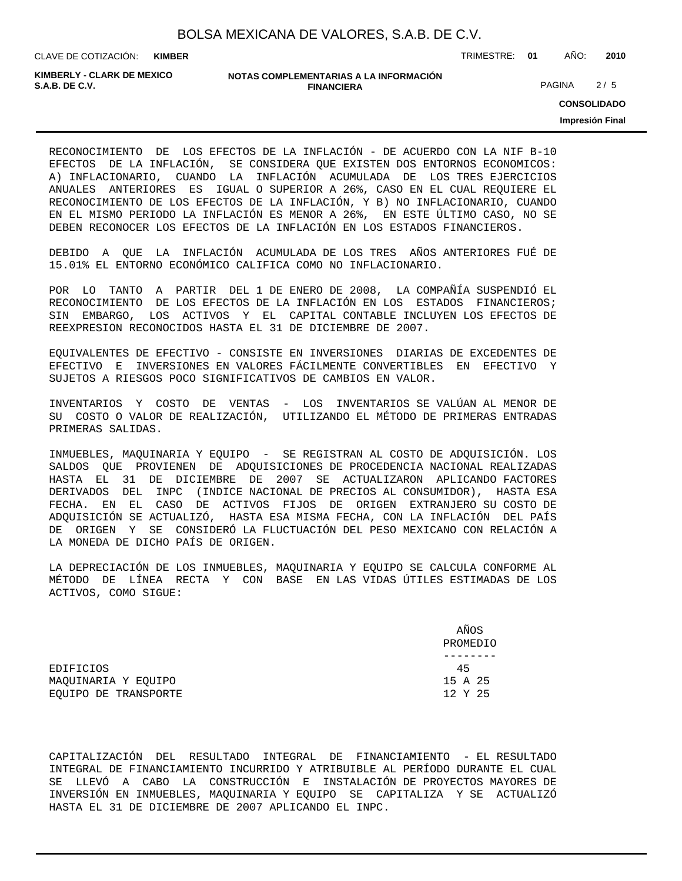**KIMBER**

CLAVE DE COTIZACIÓN: TRIMESTRE: **01** AÑO: **2010**

**KIMBERLY - CLARK DE MEXICO**

#### **NOTAS COMPLEMENTARIAS A LA INFORMACIÓN FINANCIERA S.A.B. DE C.V.** PAGINA 2 / 5

**CONSOLIDADO**

**Impresión Final**

RECONOCIMIENTO DE LOS EFECTOS DE LA INFLACIÓN - DE ACUERDO CON LA NIF B-10 EFECTOS DE LA INFLACIÓN, SE CONSIDERA QUE EXISTEN DOS ENTORNOS ECONOMICOS: A) INFLACIONARIO, CUANDO LA INFLACIÓN ACUMULADA DE LOS TRES EJERCICIOS ANUALES ANTERIORES ES IGUAL O SUPERIOR A 26%, CASO EN EL CUAL REQUIERE EL RECONOCIMIENTO DE LOS EFECTOS DE LA INFLACIÓN, Y B) NO INFLACIONARIO, CUANDO EN EL MISMO PERIODO LA INFLACIÓN ES MENOR A 26%, EN ESTE ÚLTIMO CASO, NO SE DEBEN RECONOCER LOS EFECTOS DE LA INFLACIÓN EN LOS ESTADOS FINANCIEROS.

DEBIDO A QUE LA INFLACIÓN ACUMULADA DE LOS TRES AÑOS ANTERIORES FUÉ DE 15.01% EL ENTORNO ECONÓMICO CALIFICA COMO NO INFLACIONARIO.

POR LO TANTO A PARTIR DEL 1 DE ENERO DE 2008, LA COMPAÑÍA SUSPENDIÓ EL RECONOCIMIENTO DE LOS EFECTOS DE LA INFLACIÓN EN LOS ESTADOS FINANCIEROS; SIN EMBARGO, LOS ACTIVOS Y EL CAPITAL CONTABLE INCLUYEN LOS EFECTOS DE REEXPRESION RECONOCIDOS HASTA EL 31 DE DICIEMBRE DE 2007.

EQUIVALENTES DE EFECTIVO - CONSISTE EN INVERSIONES DIARIAS DE EXCEDENTES DE EFECTIVO E INVERSIONES EN VALORES FÁCILMENTE CONVERTIBLES EN EFECTIVO Y SUJETOS A RIESGOS POCO SIGNIFICATIVOS DE CAMBIOS EN VALOR.

INVENTARIOS Y COSTO DE VENTAS - LOS INVENTARIOS SE VALÚAN AL MENOR DE SU COSTO O VALOR DE REALIZACIÓN, UTILIZANDO EL MÉTODO DE PRIMERAS ENTRADAS PRIMERAS SALIDAS.

INMUEBLES, MAQUINARIA Y EQUIPO - SE REGISTRAN AL COSTO DE ADQUISICIÓN. LOS SALDOS QUE PROVIENEN DE ADQUISICIONES DE PROCEDENCIA NACIONAL REALIZADAS HASTA EL 31 DE DICIEMBRE DE 2007 SE ACTUALIZARON APLICANDO FACTORES DERIVADOS DEL INPC (INDICE NACIONAL DE PRECIOS AL CONSUMIDOR), HASTA ESA FECHA. EN EL CASO DE ACTIVOS FIJOS DE ORIGEN EXTRANJERO SU COSTO DE ADQUISICIÓN SE ACTUALIZÓ, HASTA ESA MISMA FECHA, CON LA INFLACIÓN DEL PAÍS DE ORIGEN Y SE CONSIDERÓ LA FLUCTUACIÓN DEL PESO MEXICANO CON RELACIÓN A LA MONEDA DE DICHO PAÍS DE ORIGEN.

LA DEPRECIACIÓN DE LOS INMUEBLES, MAQUINARIA Y EQUIPO SE CALCULA CONFORME AL MÉTODO DE LÍNEA RECTA Y CON BASE EN LAS VIDAS ÚTILES ESTIMADAS DE LOS ACTIVOS, COMO SIGUE:

|                      | AÑOS<br>PROMEDIO |
|----------------------|------------------|
|                      |                  |
| EDIFICIOS            | 45               |
| MAOUINARIA Y EOUIPO  | 15 A 25          |
| EOUIPO DE TRANSPORTE | 12 Y 25          |

CAPITALIZACIÓN DEL RESULTADO INTEGRAL DE FINANCIAMIENTO - EL RESULTADO INTEGRAL DE FINANCIAMIENTO INCURRIDO Y ATRIBUIBLE AL PERÍODO DURANTE EL CUAL SE LLEVÓ A CABO LA CONSTRUCCIÓN E INSTALACIÓN DE PROYECTOS MAYORES DE INVERSIÓN EN INMUEBLES, MAQUINARIA Y EQUIPO SE CAPITALIZA Y SE ACTUALIZÓ HASTA EL 31 DE DICIEMBRE DE 2007 APLICANDO EL INPC.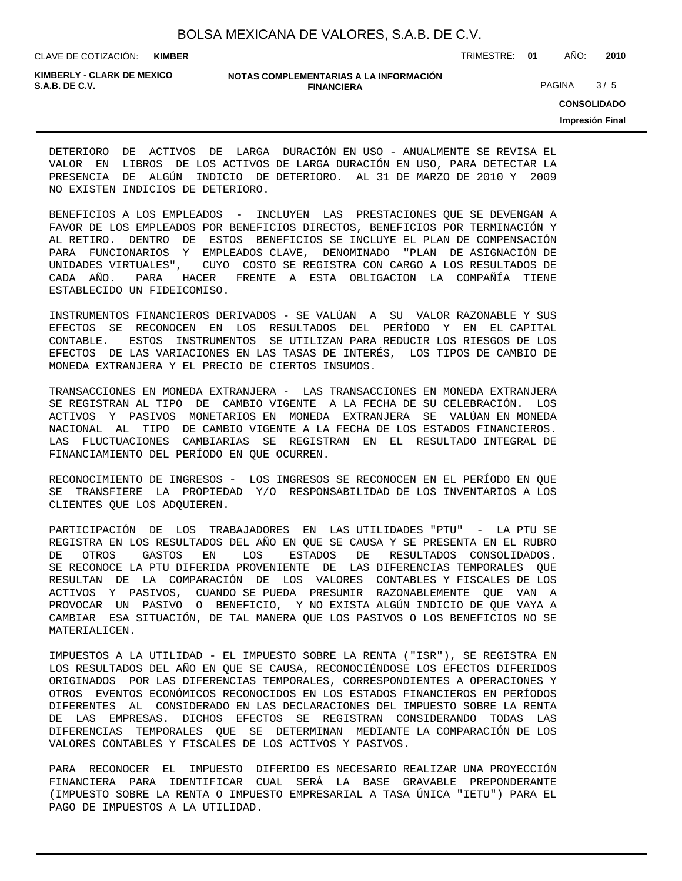CLAVE DE COTIZACIÓN: TRIMESTRE: **01** AÑO: **2010 KIMBER**

**KIMBERLY - CLARK DE MEXICO**

#### **NOTAS COMPLEMENTARIAS A LA INFORMACIÓN FINANCIERA S.A.B. DE C.V.** PAGINA 3 / 5

**CONSOLIDADO**

**Impresión Final**

DETERIORO DE ACTIVOS DE LARGA DURACIÓN EN USO - ANUALMENTE SE REVISA EL VALOR EN LIBROS DE LOS ACTIVOS DE LARGA DURACIÓN EN USO, PARA DETECTAR LA PRESENCIA DE ALGÚN INDICIO DE DETERIORO. AL 31 DE MARZO DE 2010 Y 2009 NO EXISTEN INDICIOS DE DETERIORO.

BENEFICIOS A LOS EMPLEADOS - INCLUYEN LAS PRESTACIONES QUE SE DEVENGAN A FAVOR DE LOS EMPLEADOS POR BENEFICIOS DIRECTOS, BENEFICIOS POR TERMINACIÓN Y AL RETIRO. DENTRO DE ESTOS BENEFICIOS SE INCLUYE EL PLAN DE COMPENSACIÓN PARA FUNCIONARIOS Y EMPLEADOS CLAVE, DENOMINADO "PLAN DE ASIGNACIÓN DE UNIDADES VIRTUALES", CUYO COSTO SE REGISTRA CON CARGO A LOS RESULTADOS DE CADA AÑO. PARA HACER FRENTE A ESTA OBLIGACION LA COMPAÑÍA TIENE ESTABLECIDO UN FIDEICOMISO.

INSTRUMENTOS FINANCIEROS DERIVADOS - SE VALÚAN A SU VALOR RAZONABLE Y SUS EFECTOS SE RECONOCEN EN LOS RESULTADOS DEL PERÍODO Y EN EL CAPITAL CONTABLE. ESTOS INSTRUMENTOS SE UTILIZAN PARA REDUCIR LOS RIESGOS DE LOS EFECTOS DE LAS VARIACIONES EN LAS TASAS DE INTERÉS, LOS TIPOS DE CAMBIO DE MONEDA EXTRANJERA Y EL PRECIO DE CIERTOS INSUMOS.

TRANSACCIONES EN MONEDA EXTRANJERA - LAS TRANSACCIONES EN MONEDA EXTRANJERA SE REGISTRAN AL TIPO DE CAMBIO VIGENTE A LA FECHA DE SU CELEBRACIÓN. LOS ACTIVOS Y PASIVOS MONETARIOS EN MONEDA EXTRANJERA SE VALÚAN EN MONEDA NACIONAL AL TIPO DE CAMBIO VIGENTE A LA FECHA DE LOS ESTADOS FINANCIEROS. LAS FLUCTUACIONES CAMBIARIAS SE REGISTRAN EN EL RESULTADO INTEGRAL DE FINANCIAMIENTO DEL PERÍODO EN QUE OCURREN.

RECONOCIMIENTO DE INGRESOS - LOS INGRESOS SE RECONOCEN EN EL PERÍODO EN QUE SE TRANSFIERE LA PROPIEDAD Y/O RESPONSABILIDAD DE LOS INVENTARIOS A LOS CLIENTES QUE LOS ADQUIEREN.

PARTICIPACIÓN DE LOS TRABAJADORES EN LAS UTILIDADES "PTU" - LA PTU SE REGISTRA EN LOS RESULTADOS DEL AÑO EN QUE SE CAUSA Y SE PRESENTA EN EL RUBRO DE OTROS GASTOS EN LOS ESTADOS DE RESULTADOS CONSOLIDADOS. SE RECONOCE LA PTU DIFERIDA PROVENIENTE DE LAS DIFERENCIAS TEMPORALES QUE RESULTAN DE LA COMPARACIÓN DE LOS VALORES CONTABLES Y FISCALES DE LOS ACTIVOS Y PASIVOS, CUANDO SE PUEDA PRESUMIR RAZONABLEMENTE QUE VAN A PROVOCAR UN PASIVO O BENEFICIO, Y NO EXISTA ALGÚN INDICIO DE QUE VAYA A CAMBIAR ESA SITUACIÓN, DE TAL MANERA QUE LOS PASIVOS O LOS BENEFICIOS NO SE MATERIALICEN.

IMPUESTOS A LA UTILIDAD - EL IMPUESTO SOBRE LA RENTA ("ISR"), SE REGISTRA EN LOS RESULTADOS DEL AÑO EN QUE SE CAUSA, RECONOCIÉNDOSE LOS EFECTOS DIFERIDOS ORIGINADOS POR LAS DIFERENCIAS TEMPORALES, CORRESPONDIENTES A OPERACIONES Y OTROS EVENTOS ECONÓMICOS RECONOCIDOS EN LOS ESTADOS FINANCIEROS EN PERÍODOS DIFERENTES AL CONSIDERADO EN LAS DECLARACIONES DEL IMPUESTO SOBRE LA RENTA DE LAS EMPRESAS. DICHOS EFECTOS SE REGISTRAN CONSIDERANDO TODAS LAS DIFERENCIAS TEMPORALES QUE SE DETERMINAN MEDIANTE LA COMPARACIÓN DE LOS VALORES CONTABLES Y FISCALES DE LOS ACTIVOS Y PASIVOS.

PARA RECONOCER EL IMPUESTO DIFERIDO ES NECESARIO REALIZAR UNA PROYECCIÓN FINANCIERA PARA IDENTIFICAR CUAL SERÁ LA BASE GRAVABLE PREPONDERANTE (IMPUESTO SOBRE LA RENTA O IMPUESTO EMPRESARIAL A TASA ÚNICA "IETU") PARA EL PAGO DE IMPUESTOS A LA UTILIDAD.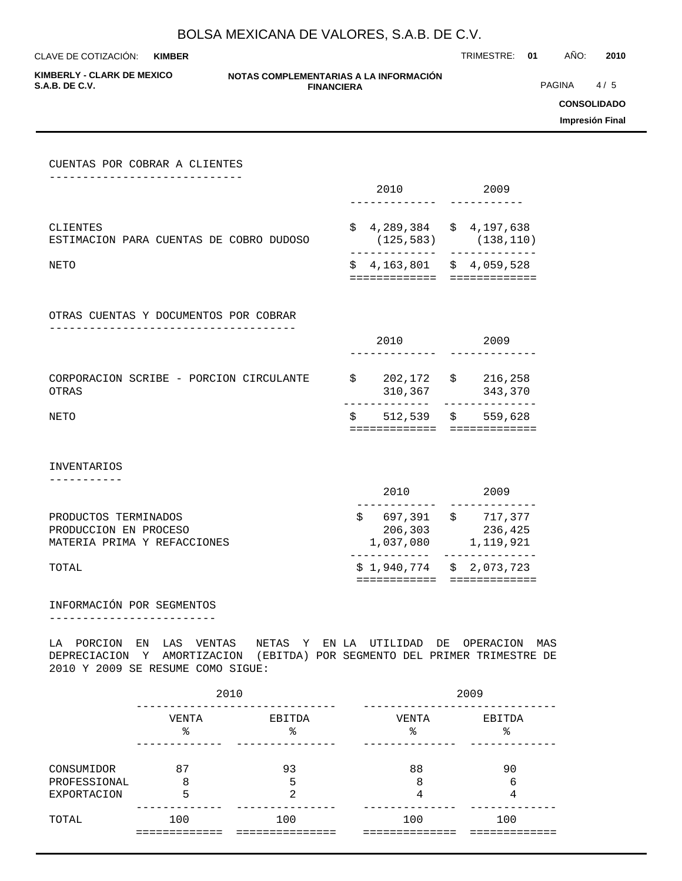**KIMBER**

CLAVE DE COTIZACIÓN: TRIMESTRE: **01** AÑO: **2010**

**KIMBERLY - CLARK DE MEXICO**

#### **NOTAS COMPLEMENTARIAS A LA INFORMACIÓN FINANCIERA S.A.B. DE C.V.** PAGINA 4 / 5

**CONSOLIDADO**

**Impresión Final**

| CUENTAS POR COBRAR A CLIENTES                                                |                                                           |                                                                     |
|------------------------------------------------------------------------------|-----------------------------------------------------------|---------------------------------------------------------------------|
|                                                                              |                                                           | 2010 2009                                                           |
| CLIENTES<br>ESTIMACION PARA CUENTAS DE COBRO DUDOSO                          | $$4,289,384$ $$4,197,638$<br>_______________              | $(125, 583)$ $(138, 110)$<br>-----------                            |
| NETO                                                                         | $$4,163,801$ $$4,059,528$<br>============================ |                                                                     |
| OTRAS CUENTAS Y DOCUMENTOS POR COBRAR                                        |                                                           |                                                                     |
|                                                                              | 2010 720                                                  | 2009                                                                |
| CORPORACION SCRIBE - PORCION CIRCULANTE<br><b>OTRAS</b>                      | $$202,172$ $$216,258$                                     | 310,367 343,370                                                     |
| NETO                                                                         | $$512,539$ \$ 559,628<br>=============                    |                                                                     |
| <b>INVENTARIOS</b>                                                           |                                                           |                                                                     |
|                                                                              | 2010                                                      | 2009                                                                |
| PRODUCTOS TERMINADOS<br>PRODUCCION EN PROCESO<br>MATERIA PRIMA Y REFACCIONES |                                                           | $$697,391$ \$ 717,377<br>206,303 236,425<br>$1,037,080$ $1,119,921$ |
| TOTAL                                                                        | . <u>.</u><br>============                                | $$1,940,774 \t $2,073,723$<br>=============                         |
|                                                                              |                                                           |                                                                     |

## INFORMACIÓN POR SEGMENTOS

-------------------------

LA PORCION EN LAS VENTAS NETAS Y EN LA UTILIDAD DE OPERACION MAS DEPRECIACION Y AMORTIZACION (EBITDA) POR SEGMENTO DEL PRIMER TRIMESTRE DE 2010 Y 2009 SE RESUME COMO SIGUE:

|                            | 2010       |              | 2009       |              |  |  |
|----------------------------|------------|--------------|------------|--------------|--|--|
|                            | VENTA<br>ి | EBITDA<br>٩, | VENTA<br>୫ | EBITDA<br>ిన |  |  |
| CONSUMIDOR<br>PROFESSIONAL | 87<br>8    | 93<br>5      | 88<br>8    | 90<br>6      |  |  |
| <b>EXPORTACION</b>         | 5          | ⌒            | 4          | 4            |  |  |
| TOTAL                      | 100        | 100          | 100        | 100          |  |  |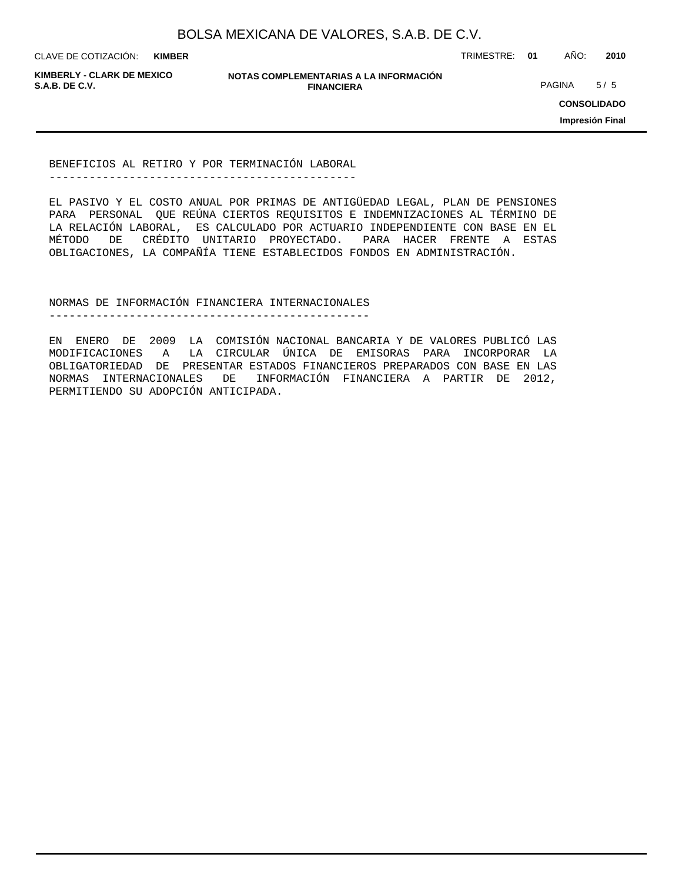**KIMBER**

CLAVE DE COTIZACIÓN: TRIMESTRE: **01** AÑO: **2010**

**KIMBERLY - CLARK DE MEXICO**

**NOTAS COMPLEMENTARIAS A LA INFORMACIÓN FINANCIERA S.A.B. DE C.V.** PAGINA 5 / 5

**CONSOLIDADO**

**Impresión Final**

BENEFICIOS AL RETIRO Y POR TERMINACIÓN LABORAL ----------------------------------------------

EL PASIVO Y EL COSTO ANUAL POR PRIMAS DE ANTIGÜEDAD LEGAL, PLAN DE PENSIONES PARA PERSONAL QUE REÚNA CIERTOS REQUISITOS E INDEMNIZACIONES AL TÉRMINO DE LA RELACIÓN LABORAL, ES CALCULADO POR ACTUARIO INDEPENDIENTE CON BASE EN EL MÉTODO DE CRÉDITO UNITARIO PROYECTADO. PARA HACER FRENTE A ESTAS OBLIGACIONES, LA COMPAÑÍA TIENE ESTABLECIDOS FONDOS EN ADMINISTRACIÓN.

NORMAS DE INFORMACIÓN FINANCIERA INTERNACIONALES

------------------------------------------------

EN ENERO DE 2009 LA COMISIÓN NACIONAL BANCARIA Y DE VALORES PUBLICÓ LAS MODIFICACIONES A LA CIRCULAR ÚNICA DE EMISORAS PARA INCORPORAR LA OBLIGATORIEDAD DE PRESENTAR ESTADOS FINANCIEROS PREPARADOS CON BASE EN LAS NORMAS INTERNACIONALES DE INFORMACIÓN FINANCIERA A PARTIR DE 2012, PERMITIENDO SU ADOPCIÓN ANTICIPADA.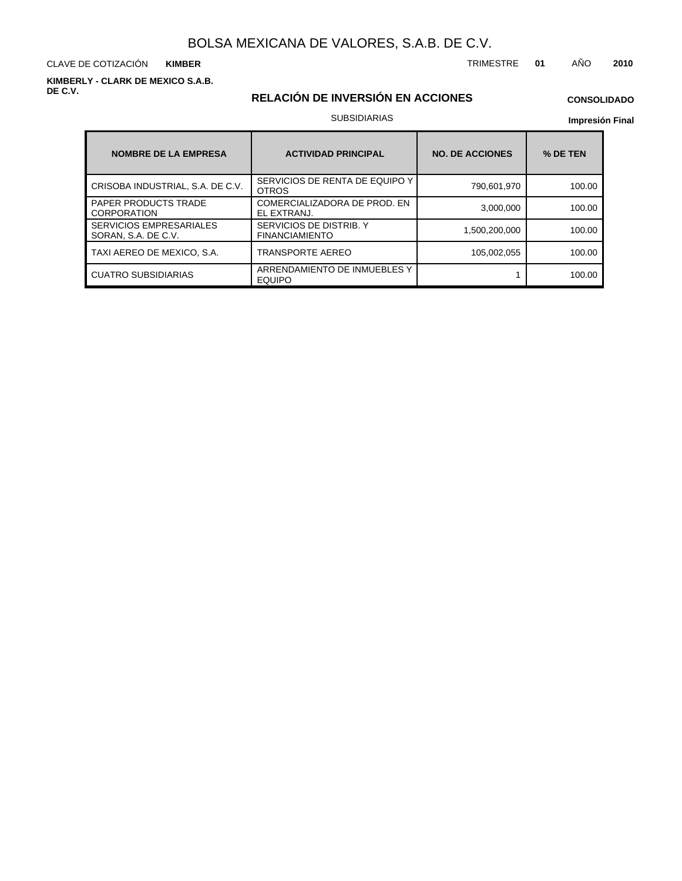CLAVE DE COTIZACIÓN TRIMESTRE **01** AÑO **2010 KIMBER**

**KIMBERLY - CLARK DE MEXICO S.A.B. DE C.V.**

## **RELACIÓN DE INVERSIÓN EN ACCIONES**

## **CONSOLIDADO**

#### SUBSIDIARIAS

| <b>NOMBRE DE LA EMPRESA</b>                           | <b>ACTIVIDAD PRINCIPAL</b>                       | <b>NO. DE ACCIONES</b> | % DE TEN |  |
|-------------------------------------------------------|--------------------------------------------------|------------------------|----------|--|
| CRISOBA INDUSTRIAL, S.A. DE C.V.                      | SERVICIOS DE RENTA DE EQUIPO Y<br><b>OTROS</b>   | 790,601,970            | 100.00   |  |
| <b>PAPER PRODUCTS TRADE</b><br><b>CORPORATION</b>     | COMERCIALIZADORA DE PROD. EN<br>EL EXTRANJ.      | 3,000,000              | 100.00   |  |
| <b>SERVICIOS EMPRESARIALES</b><br>SORAN, S.A. DE C.V. | SERVICIOS DE DISTRIB. Y<br><b>FINANCIAMIENTO</b> | 1,500,200,000          | 100.00   |  |
| TAXI AEREO DE MEXICO, S.A.                            | TRANSPORTE AEREO                                 | 105,002,055            | 100.00   |  |
| <b>CUATRO SUBSIDIARIAS</b>                            | ARRENDAMIENTO DE INMUEBLES Y<br><b>EQUIPO</b>    |                        | 100.00   |  |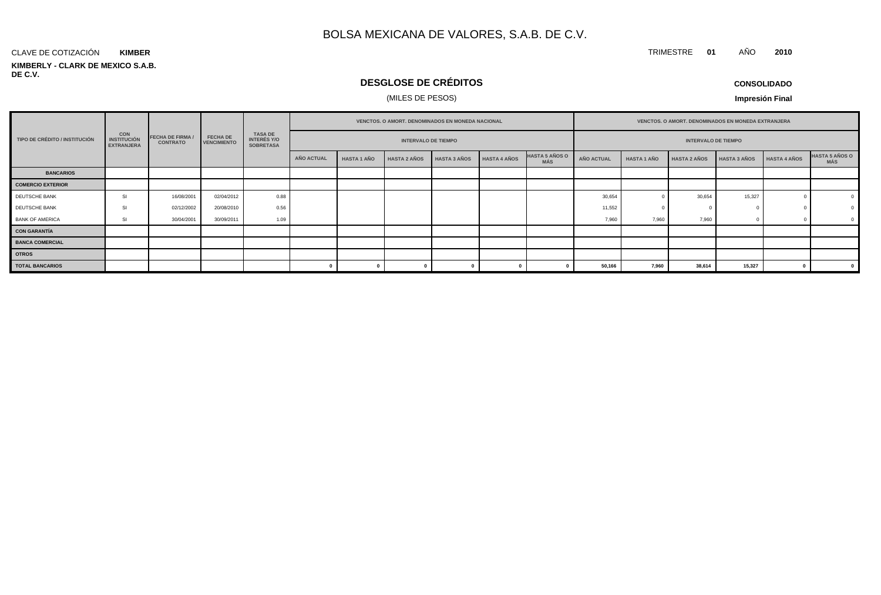#### **KIMBERLY - CLARK DE MEXICO S.A.B. DE C.V.** CLAVE DE COTIZACIÓN **KIMBER**

## **DESGLOSE DE CRÉDITOS**

## (MILES DE PESOS)

**CONSOLIDADO**

TRIMESTRE **01** AÑO **2010**

|                               |                                                       |                                            |                                       |                                                          |                            | <b>VENCTOS, O AMORT, DENOMINADOS EN MONEDA NACIONAL</b> |                     |                     |                     | <b>VENCTOS, O AMORT, DENOMINADOS EN MONEDA EXTRANJERA</b> |                   |                    |                     |                     |              |                              |
|-------------------------------|-------------------------------------------------------|--------------------------------------------|---------------------------------------|----------------------------------------------------------|----------------------------|---------------------------------------------------------|---------------------|---------------------|---------------------|-----------------------------------------------------------|-------------------|--------------------|---------------------|---------------------|--------------|------------------------------|
| TIPO DE CRÉDITO / INSTITUCIÓN | <b>CON</b><br><b>INSTITUCIÓN</b><br><b>EXTRANJERA</b> | <b>FECHA DE FIRMA /</b><br><b>CONTRATO</b> | <b>FECHA DE</b><br><b>VENCIMIENTO</b> | <b>TASA DE</b><br><b>INTERÉS Y/O</b><br><b>SOBRETASA</b> | <b>INTERVALO DE TIEMPO</b> |                                                         |                     |                     |                     | <b>INTERVALO DE TIEMPO</b>                                |                   |                    |                     |                     |              |                              |
|                               |                                                       |                                            |                                       |                                                          | AÑO ACTUAL                 | <b>HASTA 1 AÑO</b>                                      | <b>HASTA 2 AÑOS</b> | <b>HASTA 3 AÑOS</b> | <b>HASTA 4 AÑOS</b> | <b>HASTA 5 AÑOS O</b><br>MÁS                              | <b>AÑO ACTUAL</b> | <b>HASTA 1 AÑO</b> | <b>HASTA 2 AÑOS</b> | <b>HASTA 3 AÑOS</b> | HASTA 4 AÑOS | <b>HASTA 5 AÑOS O</b><br>MÁS |
| <b>BANCARIOS</b>              |                                                       |                                            |                                       |                                                          |                            |                                                         |                     |                     |                     |                                                           |                   |                    |                     |                     |              |                              |
| <b>COMERCIO EXTERIOR</b>      |                                                       |                                            |                                       |                                                          |                            |                                                         |                     |                     |                     |                                                           |                   |                    |                     |                     |              |                              |
| DEUTSCHE BANK                 | <b>SI</b>                                             | 16/08/2001                                 | 02/04/2012                            | 0.88                                                     |                            |                                                         |                     |                     |                     |                                                           | 30,654            |                    | 30,654              | 15,327              |              |                              |
| DEUTSCHE BANK                 | <b>SI</b>                                             | 02/12/2002                                 | 20/08/2010                            | 0.56                                                     |                            |                                                         |                     |                     |                     |                                                           | 11,552            |                    |                     |                     |              |                              |
| <b>BANK OF AMERICA</b>        | <b>SI</b>                                             | 30/04/2001                                 | 30/09/2011                            | 1.09                                                     |                            |                                                         |                     |                     |                     |                                                           | 7,960             | 7,960              | 7,960               |                     |              |                              |
| <b>CON GARANTÍA</b>           |                                                       |                                            |                                       |                                                          |                            |                                                         |                     |                     |                     |                                                           |                   |                    |                     |                     |              |                              |
| <b>BANCA COMERCIAL</b>        |                                                       |                                            |                                       |                                                          |                            |                                                         |                     |                     |                     |                                                           |                   |                    |                     |                     |              |                              |
| <b>OTROS</b>                  |                                                       |                                            |                                       |                                                          |                            |                                                         |                     |                     |                     |                                                           |                   |                    |                     |                     |              |                              |
| <b>TOTAL BANCARIOS</b>        |                                                       |                                            |                                       |                                                          |                            |                                                         |                     |                     |                     |                                                           | 50,166            | 7,960              | 38,614              | 15,327              |              | $\mathbf{0}$                 |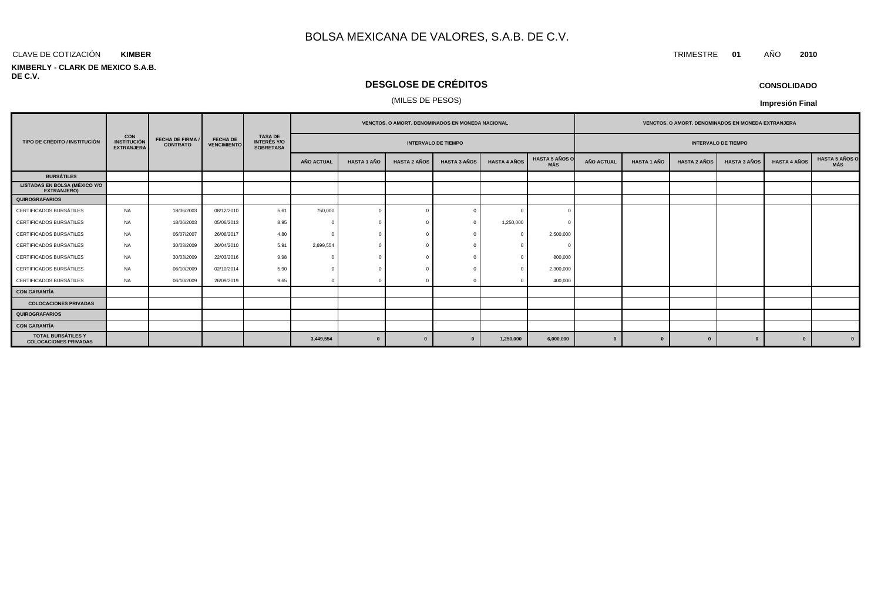#### CLAVE DE COTIZACIÓN TRIMESTRE **01** AÑO **2010 KIMBER**

#### **KIMBERLY - CLARK DE MEXICO S.A.B. DE C.V.**

## **DESGLOSE DE CRÉDITOS**

#### (MILES DE PESOS)

| <b>CONSOLIDADO</b> |  |
|--------------------|--|
|--------------------|--|

|                                                            |                                                       | <b>FECHA DE FIRMA /</b><br><b>CONTRATO</b> | <b>FECHA DE</b><br><b>VENCIMIENTO</b> |                                                          | <b>VENCTOS, O AMORT, DENOMINADOS EN MONEDA NACIONAL</b> |                    |                     |                     |                     | <b>VENCTOS, O AMORT, DENOMINADOS EN MONEDA EXTRANJERA</b> |                            |                    |                     |                     |                     |                                     |
|------------------------------------------------------------|-------------------------------------------------------|--------------------------------------------|---------------------------------------|----------------------------------------------------------|---------------------------------------------------------|--------------------|---------------------|---------------------|---------------------|-----------------------------------------------------------|----------------------------|--------------------|---------------------|---------------------|---------------------|-------------------------------------|
| TIPO DE CRÉDITO / INSTITUCIÓN                              | <b>CON</b><br><b>INSTITUCIÓN</b><br><b>EXTRANJERA</b> |                                            |                                       | <b>TASA DE</b><br><b>INTERÉS Y/O</b><br><b>SOBRETASA</b> | <b>INTERVALO DE TIEMPO</b>                              |                    |                     |                     |                     |                                                           | <b>INTERVALO DE TIEMPO</b> |                    |                     |                     |                     |                                     |
|                                                            |                                                       |                                            |                                       |                                                          | <b>AÑO ACTUAL</b>                                       | <b>HASTA 1 AÑO</b> | <b>HASTA 2 AÑOS</b> | <b>HASTA 3 AÑOS</b> | <b>HASTA 4 AÑOS</b> | <b>HASTA 5 AÑOS O</b><br>MÁS                              | <b>AÑO ACTUAL</b>          | <b>HASTA 1 AÑO</b> | <b>HASTA 2 AÑOS</b> | <b>HASTA 3 AÑOS</b> | <b>HASTA 4 AÑOS</b> | <b>HASTA 5 AÑOS O</b><br><b>MÁS</b> |
| <b>BURSÁTILES</b>                                          |                                                       |                                            |                                       |                                                          |                                                         |                    |                     |                     |                     |                                                           |                            |                    |                     |                     |                     |                                     |
| <b>LISTADAS EN BOLSA (MÉXICO Y/O</b><br><b>EXTRANJERO)</b> |                                                       |                                            |                                       |                                                          |                                                         |                    |                     |                     |                     |                                                           |                            |                    |                     |                     |                     |                                     |
| QUIROGRAFARIOS                                             |                                                       |                                            |                                       |                                                          |                                                         |                    |                     |                     |                     |                                                           |                            |                    |                     |                     |                     |                                     |
| CERTIFICADOS BURSÁTILES                                    | NA                                                    | 18/06/2003                                 | 08/12/2010                            | 5.61                                                     | 750,000                                                 | $\mathbf{0}$       |                     |                     |                     | $\Omega$                                                  |                            |                    |                     |                     |                     |                                     |
| CERTIFICADOS BURSÁTILES                                    | <b>NA</b>                                             | 18/06/2003                                 | 05/06/2013                            | 8.95                                                     |                                                         |                    |                     |                     | 1,250,000           |                                                           |                            |                    |                     |                     |                     |                                     |
| CERTIFICADOS BURSÁTILES                                    | <b>NA</b>                                             | 05/07/2007                                 | 26/06/2017                            | 4.80                                                     |                                                         |                    |                     |                     |                     | 2,500,000                                                 |                            |                    |                     |                     |                     |                                     |
| CERTIFICADOS BURSÁTILES                                    | <b>NA</b>                                             | 30/03/2009                                 | 26/04/2010                            | 5.91                                                     | 2,699,554                                               |                    |                     |                     |                     | $\sqrt{ }$                                                |                            |                    |                     |                     |                     |                                     |
| CERTIFICADOS BURSÁTILES                                    | <b>NA</b>                                             | 30/03/2009                                 | 22/03/2016                            | 9.98                                                     |                                                         |                    |                     |                     |                     | 800,000                                                   |                            |                    |                     |                     |                     |                                     |
| CERTIFICADOS BURSÁTILES                                    | <b>NA</b>                                             | 06/10/2009                                 | 02/10/2014                            | 5.90                                                     |                                                         |                    |                     |                     |                     | 2,300,000                                                 |                            |                    |                     |                     |                     |                                     |
| CERTIFICADOS BURSÁTILES                                    | NA                                                    | 06/10/2009                                 | 26/09/2019                            | 9.65                                                     |                                                         |                    |                     |                     |                     | 400,000                                                   |                            |                    |                     |                     |                     |                                     |
| <b>CON GARANTÍA</b>                                        |                                                       |                                            |                                       |                                                          |                                                         |                    |                     |                     |                     |                                                           |                            |                    |                     |                     |                     |                                     |
| <b>COLOCACIONES PRIVADAS</b>                               |                                                       |                                            |                                       |                                                          |                                                         |                    |                     |                     |                     |                                                           |                            |                    |                     |                     |                     |                                     |
| <b>QUIROGRAFARIOS</b>                                      |                                                       |                                            |                                       |                                                          |                                                         |                    |                     |                     |                     |                                                           |                            |                    |                     |                     |                     |                                     |
| <b>CON GARANTÍA</b>                                        |                                                       |                                            |                                       |                                                          |                                                         |                    |                     |                     |                     |                                                           |                            |                    |                     |                     |                     |                                     |
| <b>TOTAL BURSÁTILES Y</b><br><b>COLOCACIONES PRIVADAS</b>  |                                                       |                                            |                                       |                                                          | 3,449,554                                               | $\Omega$           | $\mathbf{0}$        |                     | 1,250,000           | 6,000,000                                                 | $\bf{0}$                   | $\bf{0}$           | $\mathbf{a}$        |                     | $\bf{0}$            | $\mathbf{0}$                        |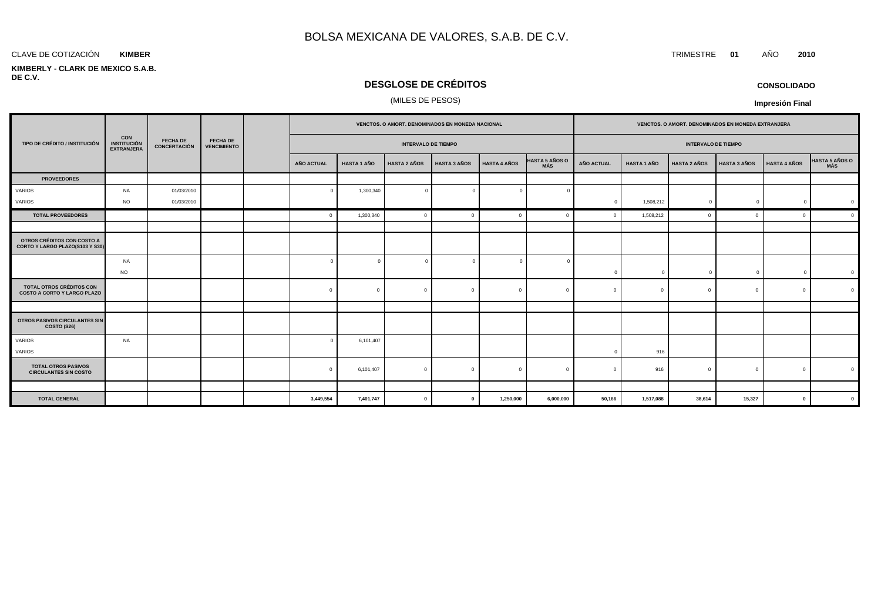#### **KIMBER**

#### **KIMBERLY - CLARK DE MEXICO S.A.B. DE C.V.**

## **DESGLOSE DE CRÉDITOS**

## (MILES DE PESOS)

|                                                                |                                                       |                                        | <b>FECHA DE</b><br><b>VENCIMIENTO</b> |                            |                    | VENCTOS. O AMORT. DENOMINADOS EN MONEDA NACIONAL |                     |                     |                              |                   | VENCTOS. O AMORT. DENOMINADOS EN MONEDA EXTRANJERA |                     |                     |                     |                |  |
|----------------------------------------------------------------|-------------------------------------------------------|----------------------------------------|---------------------------------------|----------------------------|--------------------|--------------------------------------------------|---------------------|---------------------|------------------------------|-------------------|----------------------------------------------------|---------------------|---------------------|---------------------|----------------|--|
| TIPO DE CRÉDITO / INSTITUCIÓN                                  | <b>CON</b><br><b>INSTITUCIÓN</b><br><b>EXTRANJERA</b> | <b>FECHA DE</b><br><b>CONCERTACIÓN</b> |                                       | <b>INTERVALO DE TIEMPO</b> |                    |                                                  |                     |                     | <b>INTERVALO DE TIEMPO</b>   |                   |                                                    |                     |                     |                     |                |  |
|                                                                |                                                       |                                        |                                       | AÑO ACTUAL                 | <b>HASTA 1 AÑO</b> | <b>HASTA 2 AÑOS</b>                              | <b>HASTA 3 AÑOS</b> | <b>HASTA 4 AÑOS</b> | HASTA 5 AÑOS O<br><b>MÁS</b> | <b>AÑO ACTUAL</b> | <b>HASTA 1 AÑO</b>                                 | <b>HASTA 2 AÑOS</b> | <b>HASTA 3 AÑOS</b> | <b>HASTA 4 AÑOS</b> | HASTA 5 AÑOS O |  |
| <b>PROVEEDORES</b>                                             |                                                       |                                        |                                       |                            |                    |                                                  |                     |                     |                              |                   |                                                    |                     |                     |                     |                |  |
| VARIOS                                                         | NA                                                    | 01/03/2010                             |                                       | $\Omega$                   | 1,300,340          | $\overline{0}$                                   | $\Omega$            | $\Omega$            |                              |                   |                                                    |                     |                     |                     |                |  |
| VARIOS                                                         | <b>NO</b>                                             | 01/03/2010                             |                                       |                            |                    |                                                  |                     |                     |                              | $\Omega$          | 1,508,212                                          | $\mathbf{0}$        | $\Omega$            | $\mathbf 0$         |                |  |
| <b>TOTAL PROVEEDORES</b>                                       |                                                       |                                        |                                       | $\mathbf{0}$               | 1,300,340          | $\mathbf{0}$                                     | $\Omega$            | $\Omega$            |                              | $\Omega$          | 1,508,212                                          | $\Omega$            | $\Omega$            | $\mathbf{0}$        | $\mathfrak{c}$ |  |
|                                                                |                                                       |                                        |                                       |                            |                    |                                                  |                     |                     |                              |                   |                                                    |                     |                     |                     |                |  |
| OTROS CRÉDITOS CON COSTO A<br>CORTO Y LARGO PLAZO(S103 Y S30)  |                                                       |                                        |                                       |                            |                    |                                                  |                     |                     |                              |                   |                                                    |                     |                     |                     |                |  |
|                                                                | NA                                                    |                                        |                                       | $\Omega$                   |                    | $\overline{0}$                                   |                     | $\Omega$            |                              |                   |                                                    |                     |                     |                     |                |  |
|                                                                | <b>NO</b>                                             |                                        |                                       |                            |                    |                                                  |                     |                     |                              | $\Omega$          | $\Omega$                                           | $\mathbf{0}$        |                     | $\Omega$            |                |  |
| TOTAL OTROS CRÉDITOS CON<br><b>COSTO A CORTO Y LARGO PLAZO</b> |                                                       |                                        |                                       | $\mathbf{0}$               | $\Omega$           | $\overline{0}$                                   | $\Omega$            | $\mathbf{0}$        | $\Omega$                     | $\Omega$          | $\Omega$                                           | $\Omega$            | $\Omega$            | $\mathbf{0}$        |                |  |
|                                                                |                                                       |                                        |                                       |                            |                    |                                                  |                     |                     |                              |                   |                                                    |                     |                     |                     |                |  |
| <b>OTROS PASIVOS CIRCULANTES SIN</b><br>COSTO (S26)            |                                                       |                                        |                                       |                            |                    |                                                  |                     |                     |                              |                   |                                                    |                     |                     |                     |                |  |
| VARIOS                                                         | <b>NA</b>                                             |                                        |                                       | $\Omega$                   | 6,101,407          |                                                  |                     |                     |                              |                   |                                                    |                     |                     |                     |                |  |
| VARIOS                                                         |                                                       |                                        |                                       |                            |                    |                                                  |                     |                     |                              |                   | 916                                                |                     |                     |                     |                |  |
| <b>TOTAL OTROS PASIVOS</b><br><b>CIRCULANTES SIN COSTO</b>     |                                                       |                                        |                                       | $\Omega$                   | 6,101,407          | $\mathbf{0}$                                     | $\Omega$            | $\Omega$            | $\Omega$                     |                   | 916                                                | $\Omega$            | $\sqrt{ }$          | $\Omega$            |                |  |
|                                                                |                                                       |                                        |                                       |                            |                    |                                                  |                     |                     |                              |                   |                                                    |                     |                     |                     |                |  |
| <b>TOTAL GENERAL</b>                                           |                                                       |                                        |                                       | 3,449,554                  | 7,401,747          | $\mathbf 0$                                      | $\mathbf 0$         | 1,250,000           | 6,000,000                    | 50,166            | 1,517,088                                          | 38,614              | 15,327              | $\mathbf{0}$        |                |  |

**CONSOLIDADO**

**Impresión Final**

CLAVE DE COTIZACIÓN TRIMESTRE **01** AÑO **2010**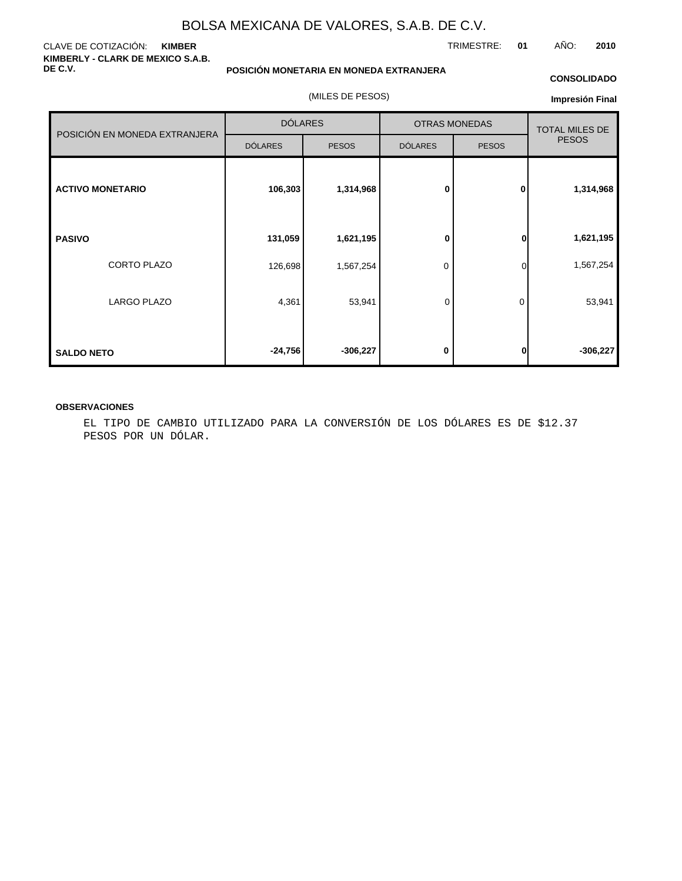#### CLAVE DE COTIZACIÓN: **KIMBER KIMBERLY - CLARK DE MEXICO S.A.B. DE C.V.**

**POSICIÓN MONETARIA EN MONEDA EXTRANJERA**

(MILES DE PESOS)

#### **CONSOLIDADO**

**Impresión Final**

|                               | <b>DÓLARES</b> |              |                | <b>OTRAS MONEDAS</b> | <b>TOTAL MILES DE</b><br><b>PESOS</b> |  |
|-------------------------------|----------------|--------------|----------------|----------------------|---------------------------------------|--|
| POSICIÓN EN MONEDA EXTRANJERA | <b>DÓLARES</b> | <b>PESOS</b> | <b>DÓLARES</b> | <b>PESOS</b>         |                                       |  |
| <b>ACTIVO MONETARIO</b>       | 106,303        | 1,314,968    | $\bf{0}$       | $\mathbf{0}$         | 1,314,968                             |  |
| <b>PASIVO</b>                 | 131,059        | 1,621,195    | 0              | $\mathbf{0}$         | 1,621,195                             |  |
| CORTO PLAZO                   | 126,698        | 1,567,254    | 0              | $\Omega$             | 1,567,254                             |  |
| <b>LARGO PLAZO</b>            | 4,361          | 53,941       | 0              | 0                    | 53,941                                |  |
| <b>SALDO NETO</b>             | $-24,756$      | $-306,227$   | 0              | 0                    | $-306,227$                            |  |

#### **OBSERVACIONES**

EL TIPO DE CAMBIO UTILIZADO PARA LA CONVERSIÓN DE LOS DÓLARES ES DE \$12.37 PESOS POR UN DÓLAR.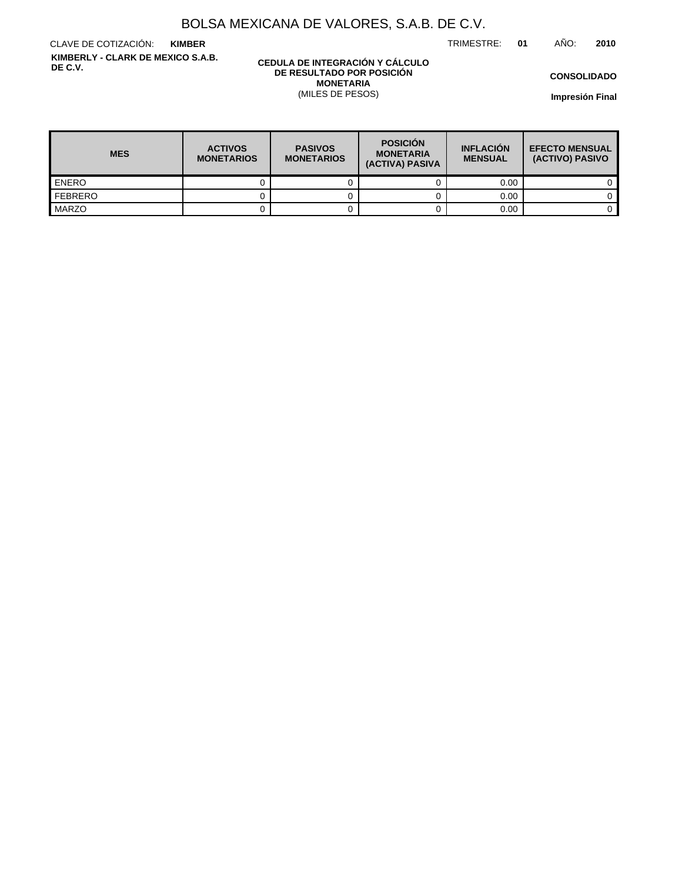TRIMESTRE: **01** AÑO: **2010**

CLAVE DE COTIZACIÓN: **KIMBER KIMBERLY - CLARK DE MEXICO S.A.B. DE C.V.**

#### **CEDULA DE INTEGRACIÓN Y CÁLCULO DE RESULTADO POR POSICIÓN MONETARIA** (MILES DE PESOS)

**CONSOLIDADO**

| <b>MES</b>   | <b>ACTIVOS</b><br><b>MONETARIOS</b> | <b>PASIVOS</b><br><b>MONETARIOS</b> | <b>POSICIÓN</b><br><b>MONETARIA</b><br>(ACTIVA) PASIVA | <b>INFLACIÓN</b><br><b>MENSUAL</b> | <b>EFECTO MENSUAL</b><br>(ACTIVO) PASIVO |
|--------------|-------------------------------------|-------------------------------------|--------------------------------------------------------|------------------------------------|------------------------------------------|
| <b>ENERO</b> |                                     |                                     |                                                        | 0.00                               |                                          |
| FEBRERO      |                                     |                                     |                                                        | 0.00                               |                                          |
| MARZO        |                                     |                                     |                                                        | 0.00                               |                                          |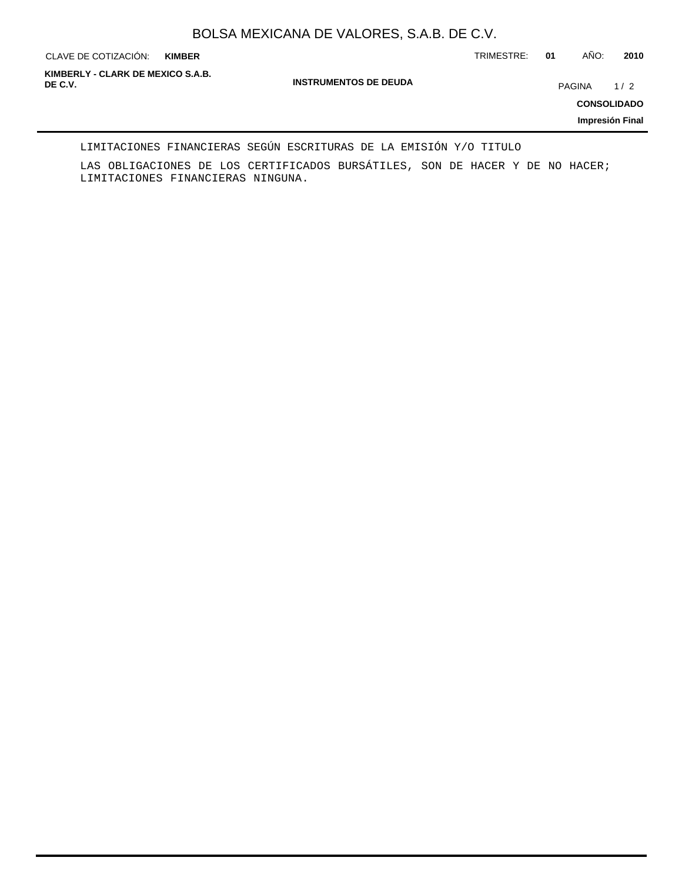**KIMBER**

CLAVE DE COTIZACIÓN: TRIMESTRE: **01** AÑO: **2010**

**INSTRUMENTOS DE DEUDA DE C.V.** PAGINA 1 / 2 **KIMBERLY - CLARK DE MEXICO S.A.B.**

**CONSOLIDADO**

**Impresión Final**

#### LIMITACIONES FINANCIERAS SEGÚN ESCRITURAS DE LA EMISIÓN Y/O TITULO

LAS OBLIGACIONES DE LOS CERTIFICADOS BURSÁTILES, SON DE HACER Y DE NO HACER; LIMITACIONES FINANCIERAS NINGUNA.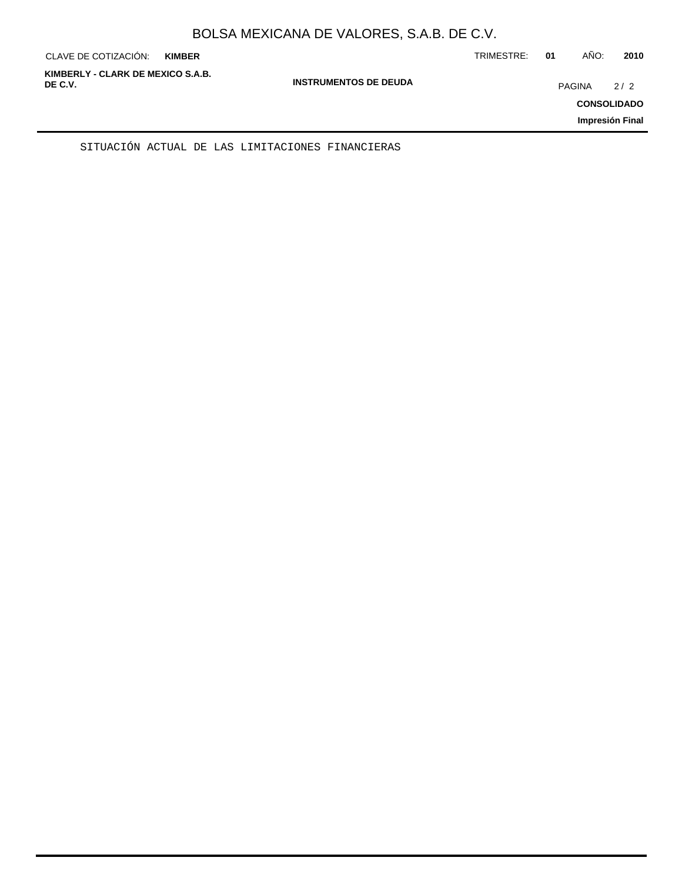| AÑO:<br>2010<br>TRIMESTRE:<br>01<br>CLAVE DE COTIZACIÓN:<br><b>KIMBER</b>                                                                     |  |
|-----------------------------------------------------------------------------------------------------------------------------------------------|--|
| KIMBERLY - CLARK DE MEXICO S.A.B.<br><b>INSTRUMENTOS DE DEUDA</b><br>DE C.V.<br>2/2<br><b>PAGINA</b><br><b>CONSOLIDADO</b><br>Impresión Final |  |

SITUACIÓN ACTUAL DE LAS LIMITACIONES FINANCIERAS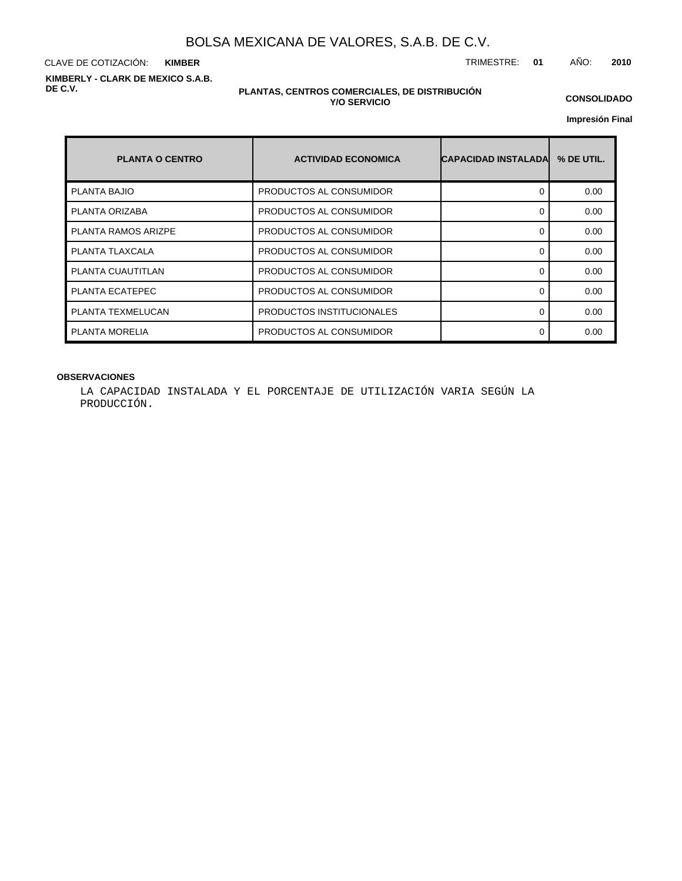CLAVE DE COTIZACIÓN: TRIMESTRE: **01** AÑO: **2010 KIMBER KIMBERLY - CLARK DE MEXICO S.A.B. DE C.V.**

#### **PLANTAS, CENTROS COMERCIALES, DE DISTRIBUCIÓN Y/O SERVICIO**

**CONSOLIDADO**

**Impresión Final**

| <b>PLANTA O CENTRO</b>     | <b>ACTIVIDAD ECONOMICA</b> | <b>CAPACIDAD INSTALADAL</b> | % DE UTIL. |
|----------------------------|----------------------------|-----------------------------|------------|
| <b>PLANTA BAJIO</b>        | PRODUCTOS AL CONSUMIDOR    | 0                           | 0.00       |
| PLANTA ORIZABA             | PRODUCTOS AL CONSUMIDOR    | ∩                           | 0.00       |
| <b>PLANTA RAMOS ARIZPE</b> | PRODUCTOS AL CONSUMIDOR    | 0                           | 0.00       |
| PLANTA TLAXCALA            | PRODUCTOS AL CONSUMIDOR    | 0                           | 0.00       |
| PLANTA CUAUTITLAN          | PRODUCTOS AL CONSUMIDOR    | 0                           | 0.00       |
| PLANTA ECATEPEC            | PRODUCTOS AL CONSUMIDOR    | ∩                           | 0.00       |
| PLANTA TEXMELUCAN          | PRODUCTOS INSTITUCIONALES  | 0                           | 0.00       |
| PLANTA MORELIA             | PRODUCTOS AL CONSUMIDOR    | ∩                           | 0.00       |

### **OBSERVACIONES**

LA CAPACIDAD INSTALADA Y EL PORCENTAJE DE UTILIZACIÓN VARIA SEGÚN LA PRODUCCIÓN.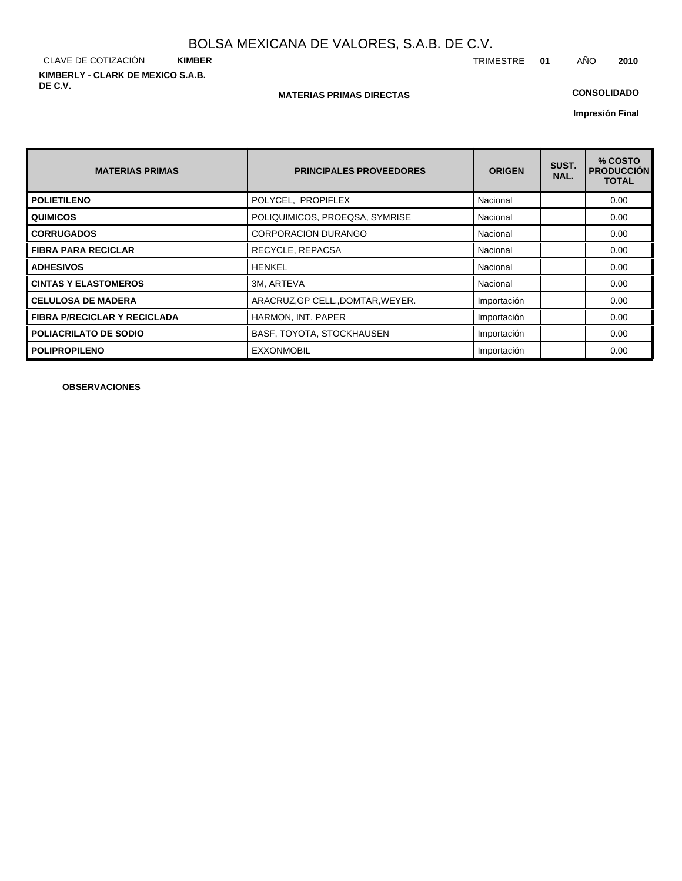CLAVE DE COTIZACIÓN **KIMBER KIMBERLY - CLARK DE MEXICO S.A.B. DE C.V.**

#### **MATERIAS PRIMAS DIRECTAS**

## **CONSOLIDADO**

**Impresión Final**

| <b>MATERIAS PRIMAS</b>              | <b>PRINCIPALES PROVEEDORES</b>    | <b>ORIGEN</b> | SUST.<br>NAL. | % COSTO<br><b>PRODUCCION</b><br><b>TOTAL</b> |
|-------------------------------------|-----------------------------------|---------------|---------------|----------------------------------------------|
| <b>POLIETILENO</b>                  | POLYCEL, PROPIFLEX                | Nacional      |               | 0.00                                         |
| <b>QUIMICOS</b>                     | POLIQUIMICOS, PROEQSA, SYMRISE    | Nacional      |               | 0.00                                         |
| <b>CORRUGADOS</b>                   | <b>CORPORACION DURANGO</b>        | Nacional      |               | 0.00                                         |
| <b>FIBRA PARA RECICLAR</b>          | RECYCLE, REPACSA                  | Nacional      |               | 0.00                                         |
| <b>ADHESIVOS</b>                    | <b>HENKEL</b>                     | Nacional      |               | 0.00                                         |
| <b>CINTAS Y ELASTOMEROS</b>         | 3M, ARTEVA                        | Nacional      |               | 0.00                                         |
| <b>CELULOSA DE MADERA</b>           | ARACRUZ, GP CELL., DOMTAR, WEYER. | Importación   |               | 0.00                                         |
| <b>FIBRA P/RECICLAR Y RECICLADA</b> | HARMON, INT. PAPER                | Importación   |               | 0.00                                         |
| <b>POLIACRILATO DE SODIO</b>        | BASF, TOYOTA, STOCKHAUSEN         | Importación   |               | 0.00                                         |
| <b>POLIPROPILENO</b>                | <b>EXXONMOBIL</b>                 | Importación   |               | 0.00                                         |

**OBSERVACIONES**

TRIMESTRE **01** AÑO **2010**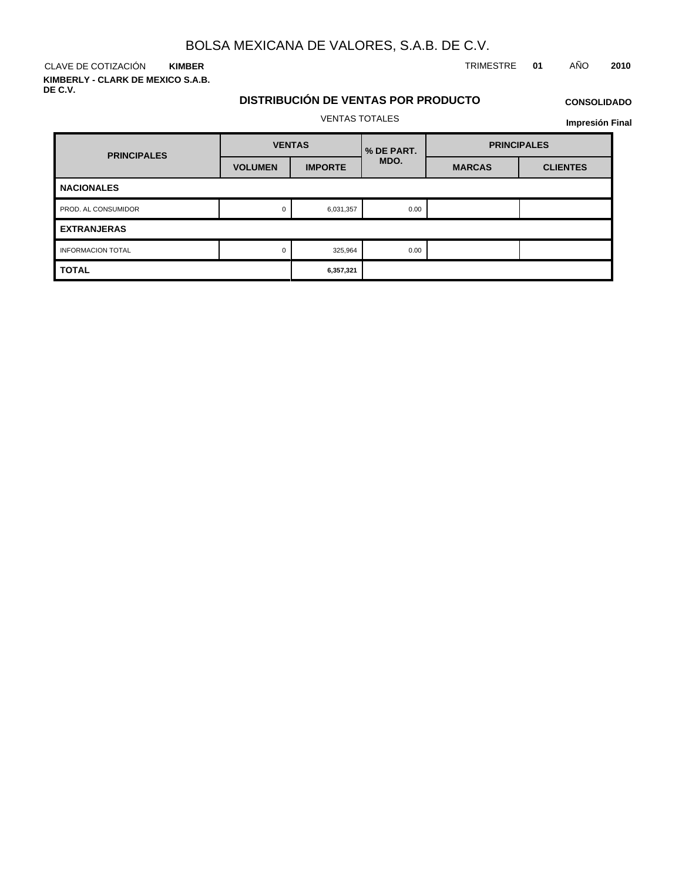**KIMBER**

**KIMBERLY - CLARK DE MEXICO S.A.B. DE C.V.**

## CLAVE DE COTIZACIÓN TRIMESTRE **01** AÑO **2010**

# **DISTRIBUCIÓN DE VENTAS POR PRODUCTO**

# **CONSOLIDADO**

VENTAS TOTALES

|                          |                | <b>VENTAS TOTALES</b> |            |                    | <b>Impresión Final</b> |  |  |  |
|--------------------------|----------------|-----------------------|------------|--------------------|------------------------|--|--|--|
|                          | <b>VENTAS</b>  |                       | % DE PART. | <b>PRINCIPALES</b> |                        |  |  |  |
| <b>PRINCIPALES</b>       | <b>VOLUMEN</b> | <b>IMPORTE</b>        | MDO.       | <b>MARCAS</b>      | <b>CLIENTES</b>        |  |  |  |
| <b>NACIONALES</b>        |                |                       |            |                    |                        |  |  |  |
| PROD. AL CONSUMIDOR      | $\Omega$       | 6,031,357             | 0.00       |                    |                        |  |  |  |
| <b>EXTRANJERAS</b>       |                |                       |            |                    |                        |  |  |  |
| <b>INFORMACION TOTAL</b> | 0              | 325,964               | 0.00       |                    |                        |  |  |  |
| <b>TOTAL</b>             |                | 6,357,321             |            |                    |                        |  |  |  |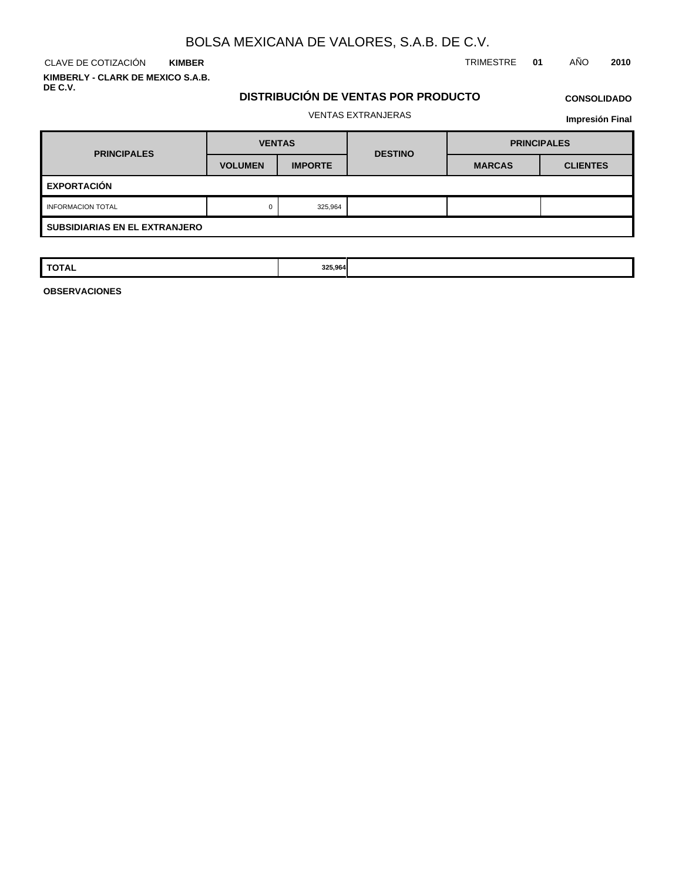CLAVE DE COTIZACIÓN TRIMESTRE **01** AÑO **2010 KIMBER KIMBERLY - CLARK DE MEXICO S.A.B.**

**DE C.V.**

## **DISTRIBUCIÓN DE VENTAS POR PRODUCTO**

## **CONSOLIDADO**

## VENTAS EXTRANJERAS

**Impresión Final**

| <b>PRINCIPALES</b>                   | <b>VENTAS</b>  |                | <b>DESTINO</b> | <b>PRINCIPALES</b> |                 |  |  |  |
|--------------------------------------|----------------|----------------|----------------|--------------------|-----------------|--|--|--|
|                                      | <b>VOLUMEN</b> | <b>IMPORTE</b> |                | <b>MARCAS</b>      | <b>CLIENTES</b> |  |  |  |
| <b>EXPORTACIÓN</b>                   |                |                |                |                    |                 |  |  |  |
| <b>INFORMACION TOTAL</b>             | 0              | 325,964        |                |                    |                 |  |  |  |
| <b>SUBSIDIARIAS EN EL EXTRANJERO</b> |                |                |                |                    |                 |  |  |  |

| <b>TOTAL</b> | 325,964<br>$\sim$ $\sim$ $\sim$ $\sim$ |  |  |
|--------------|----------------------------------------|--|--|
|              |                                        |  |  |
|              |                                        |  |  |

**OBSERVACIONES**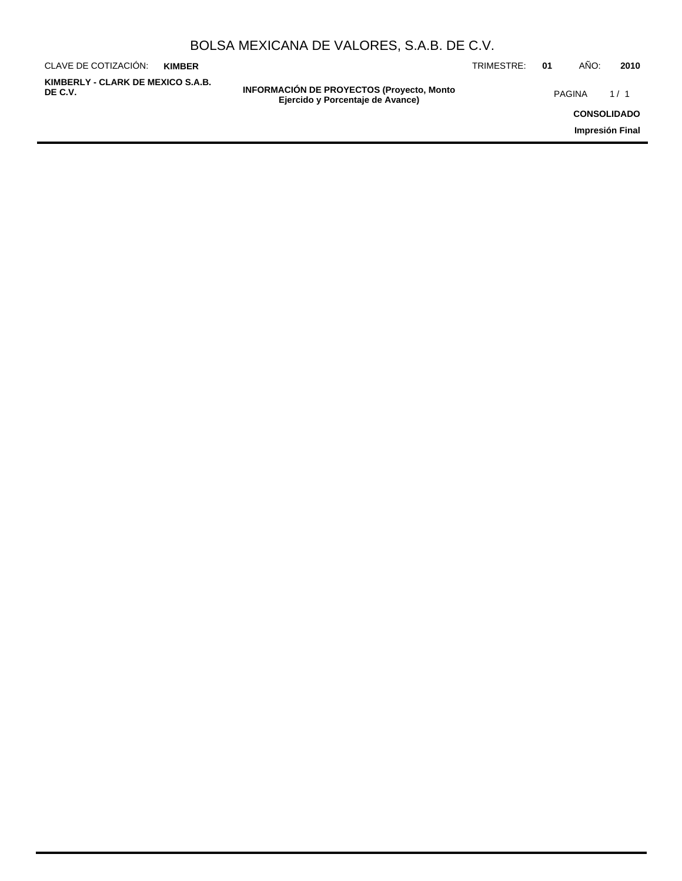| BOLSA MEXICANA DE VALORES, S.A.B. DE C.V. |  |  |  |
|-------------------------------------------|--|--|--|
|-------------------------------------------|--|--|--|

| CLAVE DE COTIZACIÓN:                         | <b>KIMBER</b> |                                                                                       | TRIMESTRE: | -01 | ANO:               | 2010 |
|----------------------------------------------|---------------|---------------------------------------------------------------------------------------|------------|-----|--------------------|------|
| KIMBERLY - CLARK DE MEXICO S.A.B.<br>DE C.V. |               | <b>INFORMACIÓN DE PROYECTOS (Proyecto, Monto)</b><br>Ejercido y Porcentaje de Avance) |            |     | <b>PAGINA</b>      | 1/1  |
|                                              |               |                                                                                       |            |     | <b>CONSOLIDADO</b> |      |
|                                              |               |                                                                                       |            |     | Impresión Final    |      |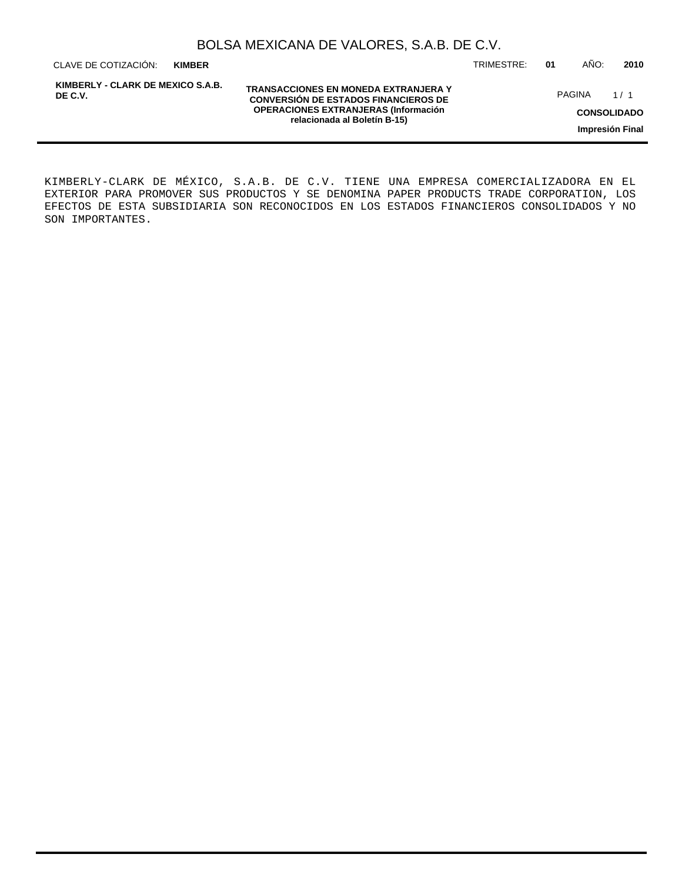| BOLSA MEXICANA DE VALORES, S.A.B. DE C.V. |  |  |  |
|-------------------------------------------|--|--|--|
|-------------------------------------------|--|--|--|

CLAVE DE COTIZACIÓN: TRIMESTRE: **01** AÑO: **2010 KIMBER**

**KIMBERLY - CLARK DE MEXICO S.A.B. DE C.V.**

**TRANSACCIONES EN MONEDA EXTRANJERA Y CONVERSIÓN DE ESTADOS FINANCIEROS DE OPERACIONES EXTRANJERAS (Información relacionada al Boletín B-15)**

PAGINA 1/1

**CONSOLIDADO**

**Impresión Final**

KIMBERLY-CLARK DE MÉXICO, S.A.B. DE C.V. TIENE UNA EMPRESA COMERCIALIZADORA EN EL EXTERIOR PARA PROMOVER SUS PRODUCTOS Y SE DENOMINA PAPER PRODUCTS TRADE CORPORATION, LOS EFECTOS DE ESTA SUBSIDIARIA SON RECONOCIDOS EN LOS ESTADOS FINANCIEROS CONSOLIDADOS Y NO SON IMPORTANTES.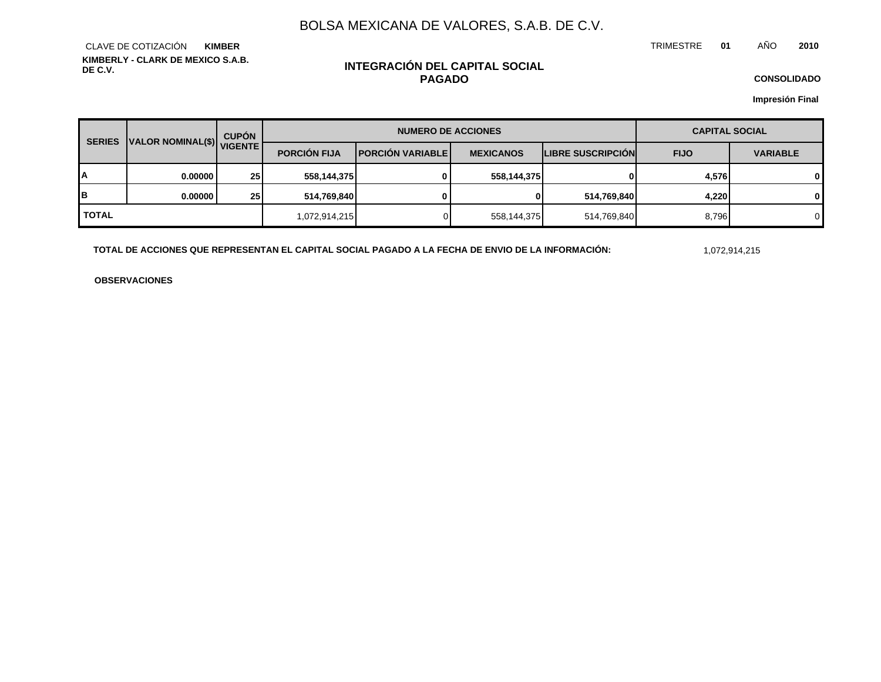TRIMESTRE **01** AÑO **2010**

**KIMBERLY - CLARK DE MEXICO S.A.B. DE C.V.** CLAVE DE COTIZACIÓN **KIMBER**

## **INTEGRACIÓN DEL CAPITAL SOCIAL PAGADO**

**CONSOLIDADO**

**Impresión Final**

| <b>SERIES</b> | VALOR NOMINAL(\$) VIGENTE | <b>CUPÓN</b>    |                     | <b>NUMERO DE ACCIONES</b> | <b>CAPITAL SOCIAL</b> |                   |             |                 |
|---------------|---------------------------|-----------------|---------------------|---------------------------|-----------------------|-------------------|-------------|-----------------|
|               |                           |                 | <b>PORCIÓN FIJA</b> | <b>PORCIÓN VARIABLE</b>   | <b>MEXICANOS</b>      | LIBRE SUSCRIPCIÓN | <b>FIJO</b> | <b>VARIABLE</b> |
| А             | 0.000001                  | 25 <sub>1</sub> | 558,144,375         | 0                         | 558,144,375           | 01                | 4,576       | 0               |
| B             | 0.000001                  | 25 <sub>1</sub> | 514,769,840         |                           | 0                     | 514,769,840       | 4,220       | 0               |
| <b>TOTAL</b>  |                           |                 | 1,072,914,215       |                           | 558,144,375           | 514,769,840       | 8,796       | 0               |

**TOTAL DE ACCIONES QUE REPRESENTAN EL CAPITAL SOCIAL PAGADO A LA FECHA DE ENVIO DE LA INFORMACIÓN:** 1,072,914,215

**OBSERVACIONES**